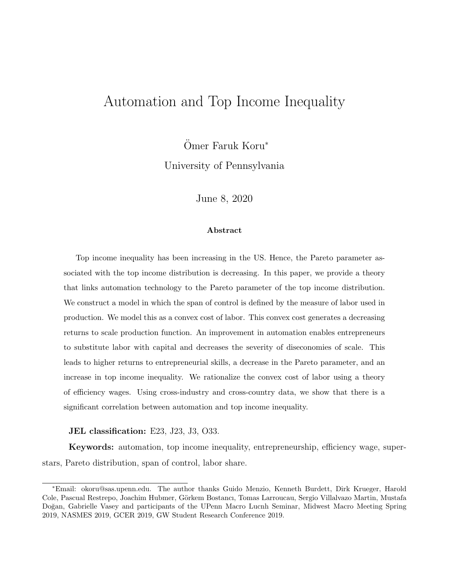# Automation and Top Income Inequality

Ömer Faruk Koru<sup>\*</sup>

University of Pennsylvania

June 8, 2020

#### Abstract

Top income inequality has been increasing in the US. Hence, the Pareto parameter associated with the top income distribution is decreasing. In this paper, we provide a theory that links automation technology to the Pareto parameter of the top income distribution. We construct a model in which the span of control is defined by the measure of labor used in production. We model this as a convex cost of labor. This convex cost generates a decreasing returns to scale production function. An improvement in automation enables entrepreneurs to substitute labor with capital and decreases the severity of diseconomies of scale. This leads to higher returns to entrepreneurial skills, a decrease in the Pareto parameter, and an increase in top income inequality. We rationalize the convex cost of labor using a theory of efficiency wages. Using cross-industry and cross-country data, we show that there is a significant correlation between automation and top income inequality.

JEL classification: E23, J23, J3, O33.

Keywords: automation, top income inequality, entrepreneurship, efficiency wage, superstars, Pareto distribution, span of control, labor share.

<sup>∗</sup>Email: okoru@sas.upenn.edu. The author thanks Guido Menzio, Kenneth Burdett, Dirk Krueger, Harold Cole, Pascual Restrepo, Joachim Hubmer, Görkem Bostancı, Tomas Larroucau, Sergio Villalvazo Martin, Mustafa Doğan, Gabrielle Vasey and participants of the UPenn Macro Lucnh Seminar, Midwest Macro Meeting Spring 2019, NASMES 2019, GCER 2019, GW Student Research Conference 2019.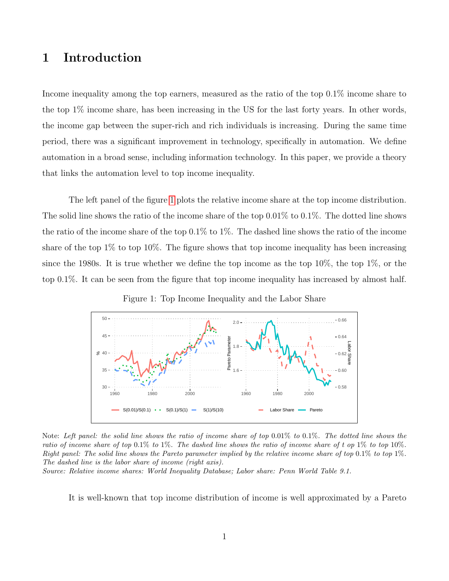## 1 Introduction

Income inequality among the top earners, measured as the ratio of the top 0.1% income share to the top 1% income share, has been increasing in the US for the last forty years. In other words, the income gap between the super-rich and rich individuals is increasing. During the same time period, there was a significant improvement in technology, specifically in automation. We define automation in a broad sense, including information technology. In this paper, we provide a theory that links the automation level to top income inequality.

The left panel of the figure [1](#page-1-0) plots the relative income share at the top income distribution. The solid line shows the ratio of the income share of the top 0.01% to 0.1%. The dotted line shows the ratio of the income share of the top 0.1% to 1%. The dashed line shows the ratio of the income share of the top  $1\%$  to top  $10\%$ . The figure shows that top income inequality has been increasing since the 1980s. It is true whether we define the top income as the top 10%, the top 1%, or the top 0.1%. It can be seen from the figure that top income inequality has increased by almost half.

Figure 1: Top Income Inequality and the Labor Share

<span id="page-1-0"></span>

Note: Left panel: the solid line shows the ratio of income share of top 0.01% to 0.1%. The dotted line shows the ratio of income share of top 0.1% to 1%. The dashed line shows the ratio of income share of t op 1% to top 10%. Right panel: The solid line shows the Pareto parameter implied by the relative income share of top 0.1% to top 1%. The dashed line is the labor share of income (right axis).

Source: Relative income shares: World Inequality Database; Labor share: Penn World Table 9.1.

It is well-known that top income distribution of income is well approximated by a Pareto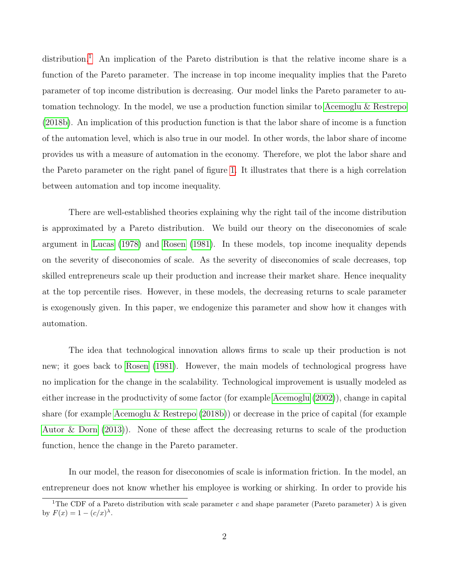distribution.<sup>[1](#page-2-0)</sup> An implication of the Pareto distribution is that the relative income share is a function of the Pareto parameter. The increase in top income inequality implies that the Pareto parameter of top income distribution is decreasing. Our model links the Pareto parameter to automation technology. In the model, we use a production function similar to [Acemoglu & Restrepo](#page-30-0) [\(2018b\)](#page-30-0). An implication of this production function is that the labor share of income is a function of the automation level, which is also true in our model. In other words, the labor share of income provides us with a measure of automation in the economy. Therefore, we plot the labor share and the Pareto parameter on the right panel of figure [1.](#page-1-0) It illustrates that there is a high correlation between automation and top income inequality.

There are well-established theories explaining why the right tail of the income distribution is approximated by a Pareto distribution. We build our theory on the diseconomies of scale argument in [Lucas](#page-33-0) [\(1978\)](#page-33-0) and [Rosen](#page-33-1) [\(1981\)](#page-33-1). In these models, top income inequality depends on the severity of diseconomies of scale. As the severity of diseconomies of scale decreases, top skilled entrepreneurs scale up their production and increase their market share. Hence inequality at the top percentile rises. However, in these models, the decreasing returns to scale parameter is exogenously given. In this paper, we endogenize this parameter and show how it changes with automation.

The idea that technological innovation allows firms to scale up their production is not new; it goes back to [Rosen](#page-33-1) [\(1981\)](#page-33-1). However, the main models of technological progress have no implication for the change in the scalability. Technological improvement is usually modeled as either increase in the productivity of some factor (for example [Acemoglu](#page-30-1) [\(2002\)](#page-30-1)), change in capital share (for example [Acemoglu & Restrepo](#page-30-0) [\(2018b\)](#page-30-0)) or decrease in the price of capital (for example [Autor & Dorn](#page-30-2) [\(2013\)](#page-30-2)). None of these affect the decreasing returns to scale of the production function, hence the change in the Pareto parameter.

In our model, the reason for diseconomies of scale is information friction. In the model, an entrepreneur does not know whether his employee is working or shirking. In order to provide his

<span id="page-2-0"></span><sup>&</sup>lt;sup>1</sup>The CDF of a Pareto distribution with scale parameter c and shape parameter (Pareto parameter)  $\lambda$  is given by  $F(x) = 1 - (c/x)^{\lambda}$ .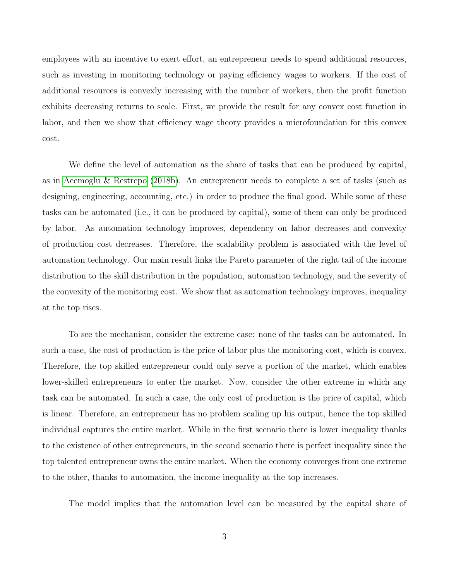employees with an incentive to exert effort, an entrepreneur needs to spend additional resources, such as investing in monitoring technology or paying efficiency wages to workers. If the cost of additional resources is convexly increasing with the number of workers, then the profit function exhibits decreasing returns to scale. First, we provide the result for any convex cost function in labor, and then we show that efficiency wage theory provides a microfoundation for this convex cost.

We define the level of automation as the share of tasks that can be produced by capital, as in [Acemoglu & Restrepo](#page-30-0) [\(2018b\)](#page-30-0). An entrepreneur needs to complete a set of tasks (such as designing, engineering, accounting, etc.) in order to produce the final good. While some of these tasks can be automated (i.e., it can be produced by capital), some of them can only be produced by labor. As automation technology improves, dependency on labor decreases and convexity of production cost decreases. Therefore, the scalability problem is associated with the level of automation technology. Our main result links the Pareto parameter of the right tail of the income distribution to the skill distribution in the population, automation technology, and the severity of the convexity of the monitoring cost. We show that as automation technology improves, inequality at the top rises.

To see the mechanism, consider the extreme case: none of the tasks can be automated. In such a case, the cost of production is the price of labor plus the monitoring cost, which is convex. Therefore, the top skilled entrepreneur could only serve a portion of the market, which enables lower-skilled entrepreneurs to enter the market. Now, consider the other extreme in which any task can be automated. In such a case, the only cost of production is the price of capital, which is linear. Therefore, an entrepreneur has no problem scaling up his output, hence the top skilled individual captures the entire market. While in the first scenario there is lower inequality thanks to the existence of other entrepreneurs, in the second scenario there is perfect inequality since the top talented entrepreneur owns the entire market. When the economy converges from one extreme to the other, thanks to automation, the income inequality at the top increases.

The model implies that the automation level can be measured by the capital share of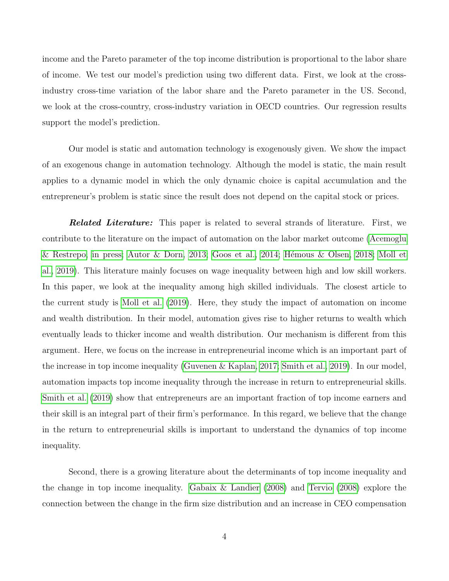income and the Pareto parameter of the top income distribution is proportional to the labor share of income. We test our model's prediction using two different data. First, we look at the crossindustry cross-time variation of the labor share and the Pareto parameter in the US. Second, we look at the cross-country, cross-industry variation in OECD countries. Our regression results support the model's prediction.

Our model is static and automation technology is exogenously given. We show the impact of an exogenous change in automation technology. Although the model is static, the main result applies to a dynamic model in which the only dynamic choice is capital accumulation and the entrepreneur's problem is static since the result does not depend on the capital stock or prices.

**Related Literature:** This paper is related to several strands of literature. First, we contribute to the literature on the impact of automation on the labor market outcome [\(Acemoglu](#page-30-3) [& Restrepo, in press;](#page-30-3) [Autor & Dorn, 2013;](#page-30-2) [Goos et al., 2014;](#page-32-0) Hémous & Olsen, 2018; [Moll et](#page-33-2) [al., 2019\)](#page-33-2). This literature mainly focuses on wage inequality between high and low skill workers. In this paper, we look at the inequality among high skilled individuals. The closest article to the current study is [Moll et al.](#page-33-2) [\(2019\)](#page-33-2). Here, they study the impact of automation on income and wealth distribution. In their model, automation gives rise to higher returns to wealth which eventually leads to thicker income and wealth distribution. Our mechanism is different from this argument. Here, we focus on the increase in entrepreneurial income which is an important part of the increase in top income inequality [\(Guvenen & Kaplan, 2017;](#page-32-2) [Smith et al., 2019\)](#page-34-0). In our model, automation impacts top income inequality through the increase in return to entrepreneurial skills. [Smith et al.](#page-34-0) [\(2019\)](#page-34-0) show that entrepreneurs are an important fraction of top income earners and their skill is an integral part of their firm's performance. In this regard, we believe that the change in the return to entrepreneurial skills is important to understand the dynamics of top income inequality.

Second, there is a growing literature about the determinants of top income inequality and the change in top income inequality. [Gabaix & Landier](#page-32-3) [\(2008\)](#page-32-3) and [Tervio](#page-34-1) [\(2008\)](#page-34-1) explore the connection between the change in the firm size distribution and an increase in CEO compensation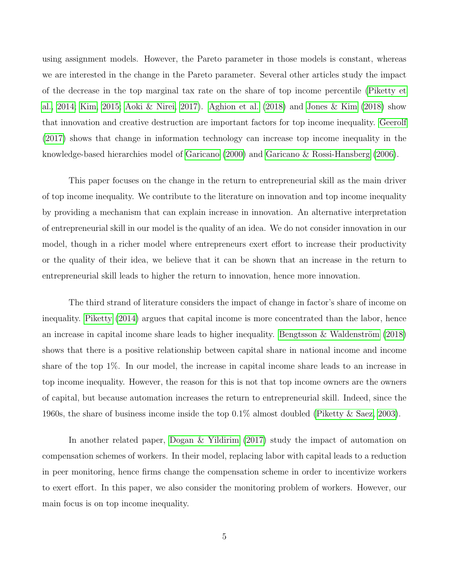using assignment models. However, the Pareto parameter in those models is constant, whereas we are interested in the change in the Pareto parameter. Several other articles study the impact of the decrease in the top marginal tax rate on the share of top income percentile [\(Piketty et](#page-33-3) [al., 2014;](#page-33-3) [Kim, 2015;](#page-33-4) [Aoki & Nirei, 2017\)](#page-30-4). [Aghion et al.](#page-30-5) [\(2018\)](#page-30-5) and [Jones & Kim](#page-33-5) [\(2018\)](#page-33-5) show that innovation and creative destruction are important factors for top income inequality. [Geerolf](#page-32-4) [\(2017\)](#page-32-4) shows that change in information technology can increase top income inequality in the knowledge-based hierarchies model of [Garicano](#page-32-5) [\(2000\)](#page-32-5) and [Garicano & Rossi-Hansberg](#page-32-6) [\(2006\)](#page-32-6).

This paper focuses on the change in the return to entrepreneurial skill as the main driver of top income inequality. We contribute to the literature on innovation and top income inequality by providing a mechanism that can explain increase in innovation. An alternative interpretation of entrepreneurial skill in our model is the quality of an idea. We do not consider innovation in our model, though in a richer model where entrepreneurs exert effort to increase their productivity or the quality of their idea, we believe that it can be shown that an increase in the return to entrepreneurial skill leads to higher the return to innovation, hence more innovation.

The third strand of literature considers the impact of change in factor's share of income on inequality. [Piketty](#page-33-6) [\(2014\)](#page-33-6) argues that capital income is more concentrated than the labor, hence an increase in capital income share leads to higher inequality. Bengtsson  $\&$  Waldenström [\(2018\)](#page-31-0) shows that there is a positive relationship between capital share in national income and income share of the top 1%. In our model, the increase in capital income share leads to an increase in top income inequality. However, the reason for this is not that top income owners are the owners of capital, but because automation increases the return to entrepreneurial skill. Indeed, since the 1960s, the share of business income inside the top 0.1% almost doubled [\(Piketty & Saez, 2003\)](#page-33-7).

In another related paper, [Dogan & Yildirim](#page-31-1) [\(2017\)](#page-31-1) study the impact of automation on compensation schemes of workers. In their model, replacing labor with capital leads to a reduction in peer monitoring, hence firms change the compensation scheme in order to incentivize workers to exert effort. In this paper, we also consider the monitoring problem of workers. However, our main focus is on top income inequality.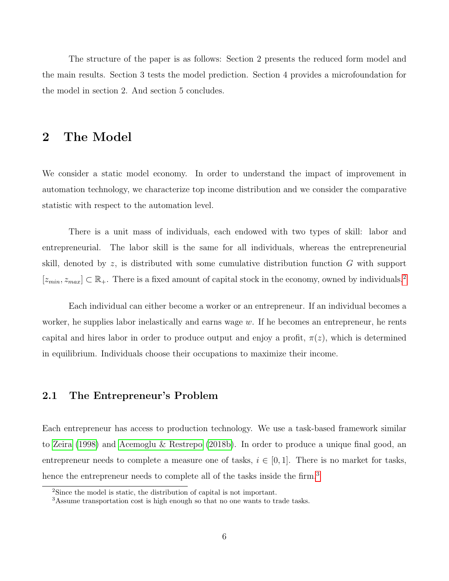The structure of the paper is as follows: Section 2 presents the reduced form model and the main results. Section 3 tests the model prediction. Section 4 provides a microfoundation for the model in section 2. And section 5 concludes.

## 2 The Model

We consider a static model economy. In order to understand the impact of improvement in automation technology, we characterize top income distribution and we consider the comparative statistic with respect to the automation level.

There is a unit mass of individuals, each endowed with two types of skill: labor and entrepreneurial. The labor skill is the same for all individuals, whereas the entrepreneurial skill, denoted by z, is distributed with some cumulative distribution function G with support  $[z_{min}, z_{max}] \subset \mathbb{R}_+$ . There is a fixed amount of capital stock in the economy, owned by individuals.<sup>[2](#page-6-0)</sup>

Each individual can either become a worker or an entrepreneur. If an individual becomes a worker, he supplies labor inelastically and earns wage  $w$ . If he becomes an entrepreneur, he rents capital and hires labor in order to produce output and enjoy a profit,  $\pi(z)$ , which is determined in equilibrium. Individuals choose their occupations to maximize their income.

## 2.1 The Entrepreneur's Problem

Each entrepreneur has access to production technology. We use a task-based framework similar to [Zeira](#page-34-2) [\(1998\)](#page-34-2) and [Acemoglu & Restrepo](#page-30-0) [\(2018b\)](#page-30-0). In order to produce a unique final good, an entrepreneur needs to complete a measure one of tasks,  $i \in [0,1]$ . There is no market for tasks, hence the entrepreneur needs to complete all of the tasks inside the firm.<sup>[3](#page-6-1)</sup>

<span id="page-6-0"></span><sup>2</sup>Since the model is static, the distribution of capital is not important.

<span id="page-6-1"></span><sup>3</sup>Assume transportation cost is high enough so that no one wants to trade tasks.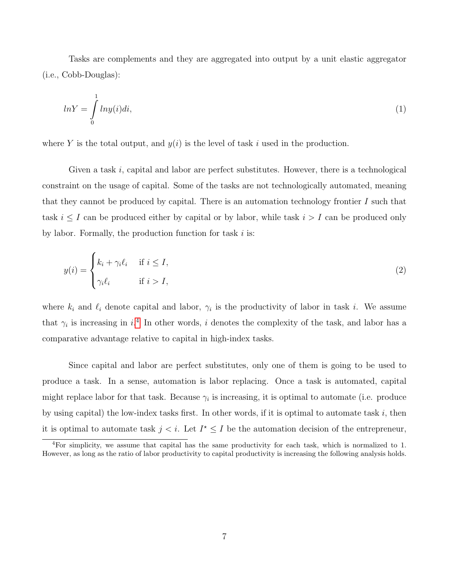Tasks are complements and they are aggregated into output by a unit elastic aggregator (i.e., Cobb-Douglas):

<span id="page-7-1"></span>
$$
ln Y = \int_{0}^{1} ln y(i)di,
$$
\n(1)

where Y is the total output, and  $y(i)$  is the level of task i used in the production.

Given a task  $i$ , capital and labor are perfect substitutes. However, there is a technological constraint on the usage of capital. Some of the tasks are not technologically automated, meaning that they cannot be produced by capital. There is an automation technology frontier  $I$  such that task  $i \leq I$  can be produced either by capital or by labor, while task  $i > I$  can be produced only by labor. Formally, the production function for task  $i$  is:

<span id="page-7-2"></span>
$$
y(i) = \begin{cases} k_i + \gamma_i \ell_i & \text{if } i \le I, \\ \gamma_i \ell_i & \text{if } i > I, \end{cases}
$$
 (2)

where  $k_i$  and  $\ell_i$  denote capital and labor,  $\gamma_i$  is the productivity of labor in task i. We assume that  $\gamma_i$  is increasing in  $i^4$  $i^4$ . In other words, i denotes the complexity of the task, and labor has a comparative advantage relative to capital in high-index tasks.

Since capital and labor are perfect substitutes, only one of them is going to be used to produce a task. In a sense, automation is labor replacing. Once a task is automated, capital might replace labor for that task. Because  $\gamma_i$  is increasing, it is optimal to automate (i.e. produce by using capital) the low-index tasks first. In other words, if it is optimal to automate task  $i$ , then it is optimal to automate task  $j < i$ . Let  $I^* \leq I$  be the automation decision of the entrepreneur,

<span id="page-7-0"></span><sup>4</sup>For simplicity, we assume that capital has the same productivity for each task, which is normalized to 1. However, as long as the ratio of labor productivity to capital productivity is increasing the following analysis holds.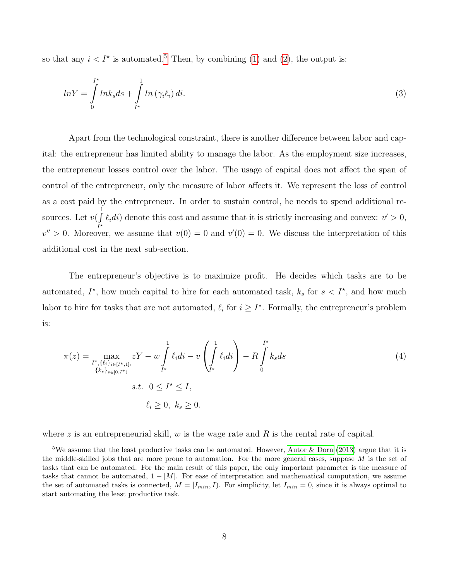so that any  $i < I^*$  is automated.<sup>[5](#page-8-0)</sup> Then, by combining [\(1\)](#page-7-1) and [\(2\)](#page-7-2), the output is:

$$
lnY = \int_{0}^{I^{\star}} lnk_s ds + \int_{I^{\star}}^{1} ln(\gamma_i \ell_i) di.
$$
 (3)

Apart from the technological constraint, there is another difference between labor and capital: the entrepreneur has limited ability to manage the labor. As the employment size increases, the entrepreneur losses control over the labor. The usage of capital does not affect the span of control of the entrepreneur, only the measure of labor affects it. We represent the loss of control as a cost paid by the entrepreneur. In order to sustain control, he needs to spend additional resources. Let  $v(\int^1$  $\iint_{I^*} \ell_i di$  denote this cost and assume that it is strictly increasing and convex:  $v' > 0$ ,  $v'' > 0$ . Moreover, we assume that  $v(0) = 0$  and  $v'(0) = 0$ . We discuss the interpretation of this additional cost in the next sub-section.

The entrepreneur's objective is to maximize profit. He decides which tasks are to be automated,  $I^*$ , how much capital to hire for each automated task,  $k_s$  for  $s < I^*$ , and how much labor to hire for tasks that are not automated,  $\ell_i$  for  $i \geq I^*$ . Formally, the entrepreneur's problem is:

<span id="page-8-1"></span>
$$
\pi(z) = \max_{\substack{I^*, \{\ell_i\}_{i \in [I^*, 1]}, \\ \{k_s\}_{s \in [0, I^*)}} zY - w \int_{I^*}^1 \ell_i di - v \left( \int_{I^*}^1 \ell_i di \right) - R \int_0^{I^*} k_s ds
$$
\n
$$
s.t. \quad 0 \le I^* \le I,
$$
\n
$$
\ell_i \ge 0, \ k_s \ge 0.
$$
\n(4)

where z is an entrepreneurial skill,  $w$  is the wage rate and  $R$  is the rental rate of capital.

<span id="page-8-0"></span><sup>&</sup>lt;sup>5</sup>We assume that the least productive tasks can be automated. However, [Autor & Dorn](#page-30-2) [\(2013\)](#page-30-2) argue that it is the middle-skilled jobs that are more prone to automation. For the more general cases, suppose M is the set of tasks that can be automated. For the main result of this paper, the only important parameter is the measure of tasks that cannot be automated,  $1 - |M|$ . For ease of interpretation and mathematical computation, we assume the set of automated tasks is connected,  $M = [I_{min}, I)$ . For simplicity, let  $I_{min} = 0$ , since it is always optimal to start automating the least productive task.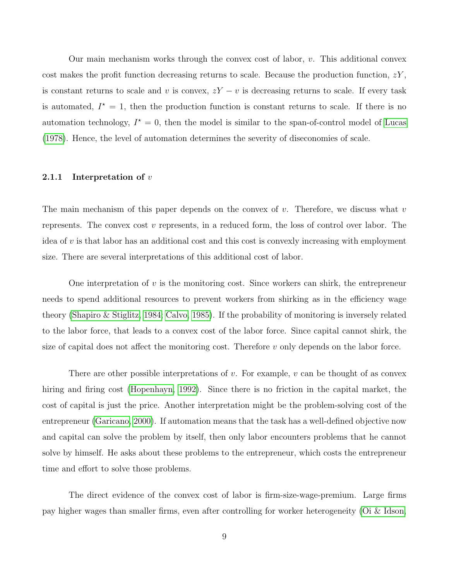Our main mechanism works through the convex cost of labor,  $v$ . This additional convex cost makes the profit function decreasing returns to scale. Because the production function,  $zY$ , is constant returns to scale and v is convex,  $zY - v$  is decreasing returns to scale. If every task is automated,  $I^* = 1$ , then the production function is constant returns to scale. If there is no automation technology,  $I^* = 0$ , then the model is similar to the span-of-control model of [Lucas](#page-33-0) [\(1978\)](#page-33-0). Hence, the level of automation determines the severity of diseconomies of scale.

#### 2.1.1 Interpretation of  $v$

The main mechanism of this paper depends on the convex of  $v$ . Therefore, we discuss what  $v$ represents. The convex cost  $v$  represents, in a reduced form, the loss of control over labor. The idea of  $v$  is that labor has an additional cost and this cost is convexly increasing with employment size. There are several interpretations of this additional cost of labor.

One interpretation of  $v$  is the monitoring cost. Since workers can shirk, the entrepreneur needs to spend additional resources to prevent workers from shirking as in the efficiency wage theory [\(Shapiro & Stiglitz, 1984;](#page-33-8) [Calvo, 1985\)](#page-31-2). If the probability of monitoring is inversely related to the labor force, that leads to a convex cost of the labor force. Since capital cannot shirk, the size of capital does not affect the monitoring cost. Therefore  $v$  only depends on the labor force.

There are other possible interpretations of v. For example, v can be thought of as convex hiring and firing cost [\(Hopenhayn, 1992\)](#page-32-7). Since there is no friction in the capital market, the cost of capital is just the price. Another interpretation might be the problem-solving cost of the entrepreneur [\(Garicano, 2000\)](#page-32-5). If automation means that the task has a well-defined objective now and capital can solve the problem by itself, then only labor encounters problems that he cannot solve by himself. He asks about these problems to the entrepreneur, which costs the entrepreneur time and effort to solve those problems.

The direct evidence of the convex cost of labor is firm-size-wage-premium. Large firms pay higher wages than smaller firms, even after controlling for worker heterogeneity [\(Oi & Idson,](#page-33-9)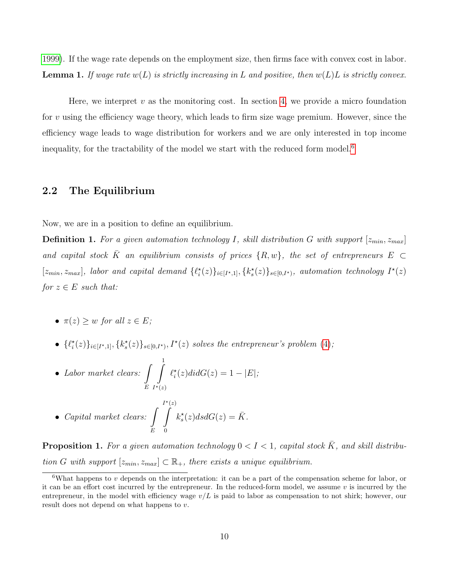[1999\)](#page-33-9). If the wage rate depends on the employment size, then firms face with convex cost in labor. **Lemma 1.** If wage rate  $w(L)$  is strictly increasing in L and positive, then  $w(L)L$  is strictly convex.

Here, we interpret  $v$  as the monitoring cost. In section [4,](#page-23-0) we provide a micro foundation for  $v$  using the efficiency wage theory, which leads to firm size wage premium. However, since the efficiency wage leads to wage distribution for workers and we are only interested in top income inequality, for the tractability of the model we start with the reduced form model.[6](#page-10-0)

## 2.2 The Equilibrium

Now, we are in a position to define an equilibrium.

**Definition 1.** For a given automation technology I, skill distribution G with support  $[z_{min}, z_{max}]$ and capital stock  $\bar{K}$  an equilibrium consists of prices  $\{R, w\}$ , the set of entrepreneurs  $E \subset$  $[z_{min}, z_{max}]$ , labor and capital demand  $\{\ell^*_i(z)\}_{i\in[I^\star,1]}, \{k^*_s(z)\}_{s\in[0, I^\star)}$ , automation technology  $I^\star(z)$ for  $z \in E$  such that:

- $\pi(z) > w$  for all  $z \in E$ ;
- $\{\ell_i^*(z)\}_{i\in[I^*,1]}, \{k_s^*(z)\}_{s\in[0,I^*)}, I^*(z)$  solves the entrepreneur's problem [\(4\)](#page-8-1);

• Labor market clears: 
$$
\int_{E} \int_{I^*(z)}^{1} \ell_i^*(z) \, di \, dG(z) = 1 - |E|;
$$

• Capital market clears: 
$$
\int_{E} \int_{0}^{I^{\star}(z)} k_s^{\star}(z) ds dG(z) = \overline{K}.
$$

<span id="page-10-1"></span>**Proposition 1.** For a given automation technology  $0 < I < 1$ , capital stock  $\overline{K}$ , and skill distribution G with support  $[z_{min}, z_{max}] \subset \mathbb{R}_+$ , there exists a unique equilibrium.

<span id="page-10-0"></span> $6$ What happens to v depends on the interpretation: it can be a part of the compensation scheme for labor, or it can be an effort cost incurred by the entrepreneur. In the reduced-form model, we assume  $v$  is incurred by the entrepreneur, in the model with efficiency wage  $v/L$  is paid to labor as compensation to not shirk; however, our result does not depend on what happens to v.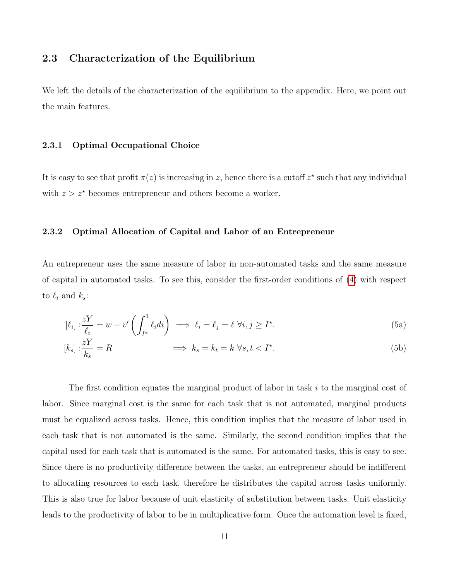## 2.3 Characterization of the Equilibrium

We left the details of the characterization of the equilibrium to the appendix. Here, we point out the main features.

#### 2.3.1 Optimal Occupational Choice

It is easy to see that profit  $\pi(z)$  is increasing in z, hence there is a cutoff  $z^*$  such that any individual with  $z > z^*$  becomes entrepreneur and others become a worker.

#### 2.3.2 Optimal Allocation of Capital and Labor of an Entrepreneur

An entrepreneur uses the same measure of labor in non-automated tasks and the same measure of capital in automated tasks. To see this, consider the first-order conditions of [\(4\)](#page-8-1) with respect to  $\ell_i$  and  $k_s$ :

$$
[\ell_i] : \frac{zY}{\ell_i} = w + v' \left( \int_{I^*}^1 \ell_i di \right) \implies \ell_i = \ell_j = \ell \ \forall i, j \ge I^*.
$$
 (5a)

$$
[k_s] : \frac{zY}{k_s} = R \qquad \qquad \implies k_s = k_t = k \ \forall s, t < I^\star. \tag{5b}
$$

The first condition equates the marginal product of labor in task i to the marginal cost of labor. Since marginal cost is the same for each task that is not automated, marginal products must be equalized across tasks. Hence, this condition implies that the measure of labor used in each task that is not automated is the same. Similarly, the second condition implies that the capital used for each task that is automated is the same. For automated tasks, this is easy to see. Since there is no productivity difference between the tasks, an entrepreneur should be indifferent to allocating resources to each task, therefore he distributes the capital across tasks uniformly. This is also true for labor because of unit elasticity of substitution between tasks. Unit elasticity leads to the productivity of labor to be in multiplicative form. Once the automation level is fixed,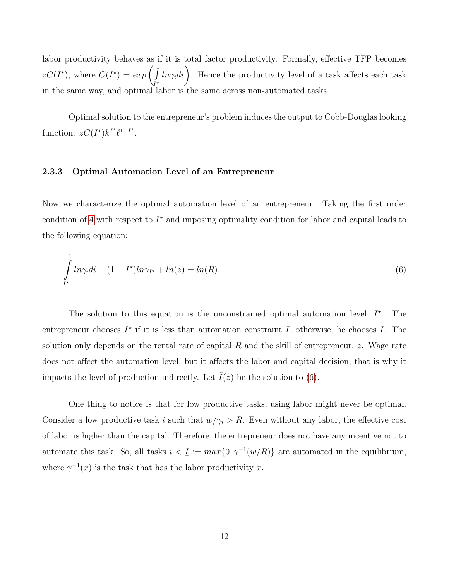labor productivity behaves as if it is total factor productivity. Formally, effective TFP becomes  $zC(I^*)$ , where  $C(I^*) = exp\left(\int$  $\int_{I^*}^{1} ln \gamma_i di$ . Hence the productivity level of a task affects each task in the same way, and optimal labor is the same across non-automated tasks.

Optimal solution to the entrepreneur's problem induces the output to Cobb-Douglas looking function:  $zC(I^{\star})k^{I^{\star}}\ell^{1-I^{\star}}$ .

#### 2.3.3 Optimal Automation Level of an Entrepreneur

Now we characterize the optimal automation level of an entrepreneur. Taking the first order condition of [4](#page-8-1) with respect to  $I^*$  and imposing optimality condition for labor and capital leads to the following equation:

<span id="page-12-0"></span>
$$
\int_{I^*}^{1} ln \gamma_i di - (1 - I^*) ln \gamma_{I^*} + ln(z) = ln(R).
$$
\n(6)

The solution to this equation is the unconstrained optimal automation level,  $I^*$ . The entrepreneur chooses  $I^*$  if it is less than automation constraint I, otherwise, he chooses I. The solution only depends on the rental rate of capital  $R$  and the skill of entrepreneur, z. Wage rate does not affect the automation level, but it affects the labor and capital decision, that is why it impacts the level of production indirectly. Let  $\tilde{I}(z)$  be the solution to [\(6\)](#page-12-0).

One thing to notice is that for low productive tasks, using labor might never be optimal. Consider a low productive task i such that  $w/\gamma_i > R$ . Even without any labor, the effective cost of labor is higher than the capital. Therefore, the entrepreneur does not have any incentive not to automate this task. So, all tasks  $i < \underline{I}$ ¯  $:= max\{0, \gamma^{-1}(w/R)\}\$ are automated in the equilibrium, where  $\gamma^{-1}(x)$  is the task that has the labor productivity x.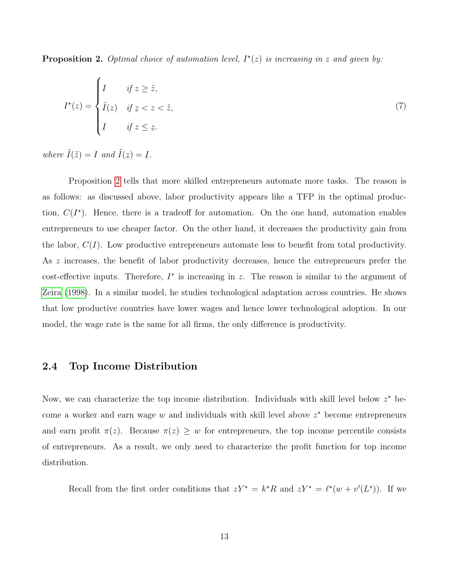<span id="page-13-0"></span>**Proposition 2.** Optimal choice of automation level,  $I^*(z)$  is increasing in z and given by:

$$
I^*(z) = \begin{cases} I & \text{if } z \ge \tilde{z}, \\ \tilde{I}(z) & \text{if } z < z < \tilde{z}, \\ I & \text{if } z \le z. \end{cases}
$$
(7)

where  $\tilde{I}(\tilde{z}) = I$  and  $\tilde{I}(z)$  $\hat{a}$  $) = I$ ¯ .

Proposition [2](#page-13-0) tells that more skilled entrepreneurs automate more tasks. The reason is as follows: as discussed above, labor productivity appears like a TFP in the optimal production,  $C(I^*)$ . Hence, there is a tradeoff for automation. On the one hand, automation enables entrepreneurs to use cheaper factor. On the other hand, it decreases the productivity gain from the labor,  $C(I)$ . Low productive entrepreneurs automate less to benefit from total productivity. As z increases, the benefit of labor productivity decreases, hence the entrepreneurs prefer the cost-effective inputs. Therefore,  $I^*$  is increasing in z. The reason is similar to the argument of [Zeira](#page-34-2) [\(1998\)](#page-34-2). In a similar model, he studies technological adaptation across countries. He shows that low productive countries have lower wages and hence lower technological adoption. In our model, the wage rate is the same for all firms, the only difference is productivity.

### 2.4 Top Income Distribution

Now, we can characterize the top income distribution. Individuals with skill level below  $z^*$  become a worker and earn wage  $w$  and individuals with skill level above  $z^*$  become entrepreneurs and earn profit  $\pi(z)$ . Because  $\pi(z) \geq w$  for entrepreneurs, the top income percentile consists of entrepreneurs. As a result, we only need to characterize the profit function for top income distribution.

Recall from the first order conditions that  $zY^* = k^*R$  and  $zY^* = \ell^*(w + v'(L^*))$ . If we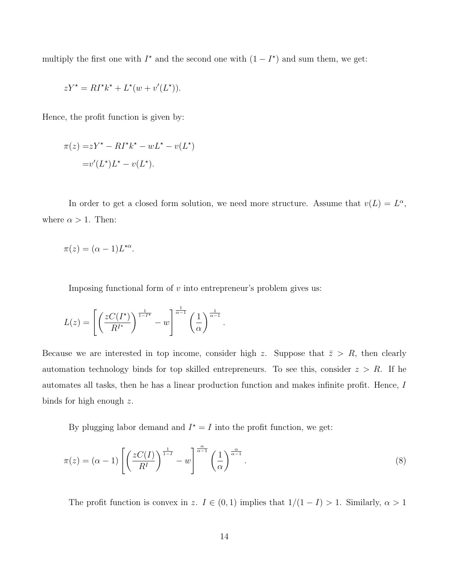multiply the first one with  $I^*$  and the second one with  $(1 - I^*)$  and sum them, we get:

$$
zY^* = RI^*k^* + L^*(w + v'(L^*)).
$$

Hence, the profit function is given by:

$$
\pi(z) = zY^* - RI^*k^* - wL^* - v(L^*)
$$

$$
= v'(L^*)L^* - v(L^*).
$$

In order to get a closed form solution, we need more structure. Assume that  $v(L) = L^{\alpha}$ , where  $\alpha > 1$ . Then:

$$
\pi(z) = (\alpha - 1)L^{\star \alpha}.
$$

Imposing functional form of  $v$  into entrepreneur's problem gives us:

$$
L(z) = \left[ \left( \frac{zC(I^*)}{R^{I^*}} \right)^{\frac{1}{1-I^*}} - w \right]^{\frac{1}{\alpha-1}} \left( \frac{1}{\alpha} \right)^{\frac{1}{\alpha-1}}.
$$

Because we are interested in top income, consider high z. Suppose that  $\bar{z} > R$ , then clearly automation technology binds for top skilled entrepreneurs. To see this, consider  $z > R$ . If he automates all tasks, then he has a linear production function and makes infinite profit. Hence, I binds for high enough  $z$ .

By plugging labor demand and  $I^* = I$  into the profit function, we get:

$$
\pi(z) = (\alpha - 1) \left[ \left( \frac{zC(I)}{R^I} \right)^{\frac{1}{1-I}} - w \right]^{\frac{\alpha}{\alpha - 1}} \left( \frac{1}{\alpha} \right)^{\frac{\alpha}{\alpha - 1}}.
$$
\n(8)

The profit function is convex in z.  $I \in (0,1)$  implies that  $1/(1-I) > 1$ . Similarly,  $\alpha > 1$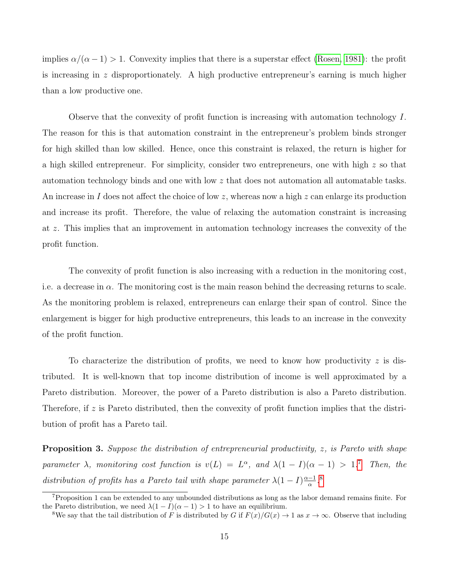implies  $\alpha/(\alpha - 1) > 1$ . Convexity implies that there is a superstar effect [\(Rosen, 1981\)](#page-33-1): the profit is increasing in z disproportionately. A high productive entrepreneur's earning is much higher than a low productive one.

Observe that the convexity of profit function is increasing with automation technology I. The reason for this is that automation constraint in the entrepreneur's problem binds stronger for high skilled than low skilled. Hence, once this constraint is relaxed, the return is higher for a high skilled entrepreneur. For simplicity, consider two entrepreneurs, one with high z so that automation technology binds and one with low z that does not automation all automatable tasks. An increase in I does not affect the choice of low z, whereas now a high z can enlarge its production and increase its profit. Therefore, the value of relaxing the automation constraint is increasing at z. This implies that an improvement in automation technology increases the convexity of the profit function.

The convexity of profit function is also increasing with a reduction in the monitoring cost, i.e. a decrease in  $\alpha$ . The monitoring cost is the main reason behind the decreasing returns to scale. As the monitoring problem is relaxed, entrepreneurs can enlarge their span of control. Since the enlargement is bigger for high productive entrepreneurs, this leads to an increase in the convexity of the profit function.

To characterize the distribution of profits, we need to know how productivity  $z$  is distributed. It is well-known that top income distribution of income is well approximated by a Pareto distribution. Moreover, the power of a Pareto distribution is also a Pareto distribution. Therefore, if z is Pareto distributed, then the convexity of profit function implies that the distribution of profit has a Pareto tail.

<span id="page-15-2"></span>Proposition 3. Suppose the distribution of entrepreneurial productivity, z, is Pareto with shape parameter  $\lambda$ , monitoring cost function is  $v(L) = L^{\alpha}$ , and  $\lambda(1 - I)(\alpha - 1) > 1$ .<sup>[7](#page-15-0)</sup> Then, the distribution of profits has a Pareto tail with shape parameter  $\lambda(1-I)\frac{\alpha-1}{\alpha}$  $\frac{-1}{\alpha}$ .<sup>[8](#page-15-1)</sup>

<span id="page-15-0"></span><sup>7</sup>Proposition 1 can be extended to any unbounded distributions as long as the labor demand remains finite. For the Pareto distribution, we need  $\lambda(1-I)(\alpha-1) > 1$  to have an equilibrium.

<span id="page-15-1"></span><sup>&</sup>lt;sup>8</sup>We say that the tail distribution of F is distributed by G if  $F(x)/G(x) \to 1$  as  $x \to \infty$ . Observe that including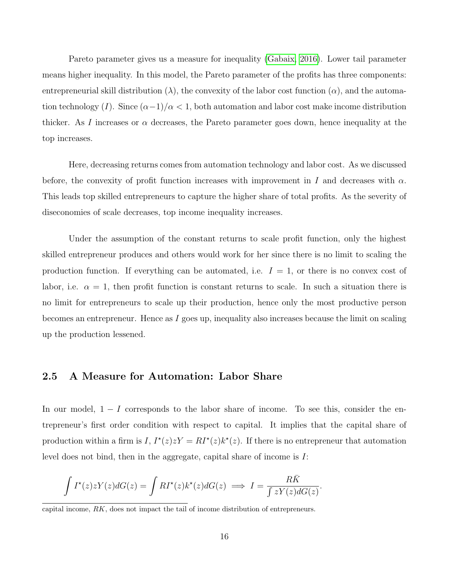Pareto parameter gives us a measure for inequality [\(Gabaix, 2016\)](#page-32-8). Lower tail parameter means higher inequality. In this model, the Pareto parameter of the profits has three components: entrepreneurial skill distribution  $(\lambda)$ , the convexity of the labor cost function  $(\alpha)$ , and the automation technology (I). Since  $(\alpha-1)/\alpha < 1$ , both automation and labor cost make income distribution thicker. As I increases or  $\alpha$  decreases, the Pareto parameter goes down, hence inequality at the top increases.

Here, decreasing returns comes from automation technology and labor cost. As we discussed before, the convexity of profit function increases with improvement in I and decreases with  $\alpha$ . This leads top skilled entrepreneurs to capture the higher share of total profits. As the severity of diseconomies of scale decreases, top income inequality increases.

Under the assumption of the constant returns to scale profit function, only the highest skilled entrepreneur produces and others would work for her since there is no limit to scaling the production function. If everything can be automated, i.e.  $I = 1$ , or there is no convex cost of labor, i.e.  $\alpha = 1$ , then profit function is constant returns to scale. In such a situation there is no limit for entrepreneurs to scale up their production, hence only the most productive person becomes an entrepreneur. Hence as I goes up, inequality also increases because the limit on scaling up the production lessened.

## 2.5 A Measure for Automation: Labor Share

In our model,  $1 - I$  corresponds to the labor share of income. To see this, consider the entrepreneur's first order condition with respect to capital. It implies that the capital share of production within a firm is I,  $I^*(z)zY = RI^*(z)k^*(z)$ . If there is no entrepreneur that automation level does not bind, then in the aggregate, capital share of income is I:

$$
\int I^*(z)zY(z)dG(z) = \int RI^*(z)k^*(z)dG(z) \implies I = \frac{R\bar{K}}{\int zY(z)dG(z)}.
$$

capital income, RK, does not impact the tail of income distribution of entrepreneurs.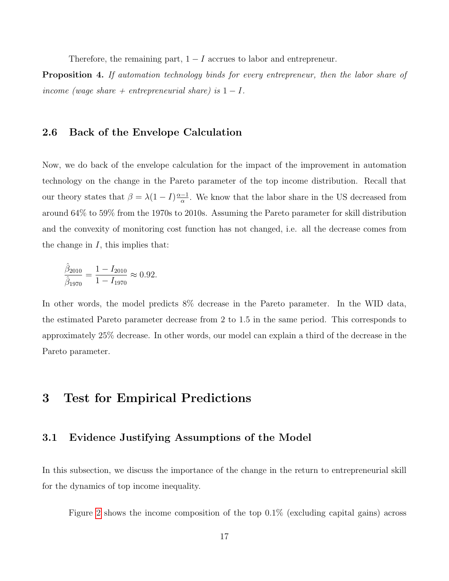Therefore, the remaining part,  $1 - I$  accrues to labor and entrepreneur.

**Proposition 4.** If automation technology binds for every entrepreneur, then the labor share of income (wage share + entrepreneurial share) is  $1 - I$ .

## 2.6 Back of the Envelope Calculation

Now, we do back of the envelope calculation for the impact of the improvement in automation technology on the change in the Pareto parameter of the top income distribution. Recall that our theory states that  $\beta = \lambda(1 - I)\frac{\alpha - 1}{\alpha}$  $\frac{-1}{\alpha}$ . We know that the labor share in the US decreased from around 64% to 59% from the 1970s to 2010s. Assuming the Pareto parameter for skill distribution and the convexity of monitoring cost function has not changed, i.e. all the decrease comes from the change in  $I$ , this implies that:

$$
\frac{\hat{\beta}_{2010}}{\hat{\beta}_{1970}} = \frac{1 - I_{2010}}{1 - I_{1970}} \approx 0.92.
$$

In other words, the model predicts  $8\%$  decrease in the Pareto parameter. In the WID data, the estimated Pareto parameter decrease from 2 to 1.5 in the same period. This corresponds to approximately 25% decrease. In other words, our model can explain a third of the decrease in the Pareto parameter.

## 3 Test for Empirical Predictions

### 3.1 Evidence Justifying Assumptions of the Model

In this subsection, we discuss the importance of the change in the return to entrepreneurial skill for the dynamics of top income inequality.

Figure [2](#page-18-0) shows the income composition of the top 0.1% (excluding capital gains) across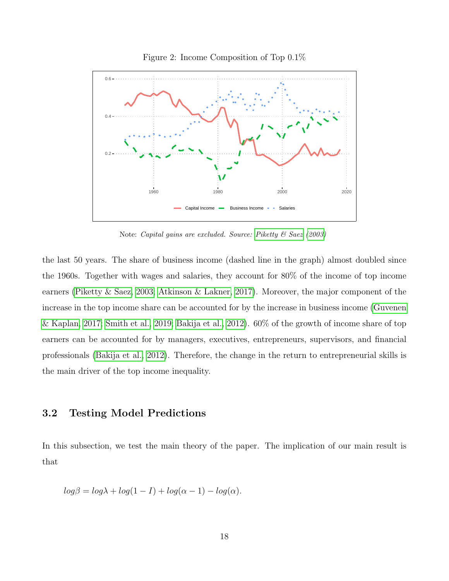<span id="page-18-0"></span>

Figure 2: Income Composition of Top 0.1%

Note: Capital gains are excluded. Source: [Piketty & Saez](#page-33-7) [\(2003\)](#page-33-7)

the last 50 years. The share of business income (dashed line in the graph) almost doubled since the 1960s. Together with wages and salaries, they account for 80% of the income of top income earners [\(Piketty & Saez, 2003;](#page-33-7) [Atkinson & Lakner, 2017\)](#page-30-6). Moreover, the major component of the increase in the top income share can be accounted for by the increase in business income [\(Guvenen](#page-32-2) [& Kaplan, 2017;](#page-32-2) [Smith et al., 2019;](#page-34-0) [Bakija et al., 2012\)](#page-30-7). 60% of the growth of income share of top earners can be accounted for by managers, executives, entrepreneurs, supervisors, and financial professionals [\(Bakija et al., 2012\)](#page-30-7). Therefore, the change in the return to entrepreneurial skills is the main driver of the top income inequality.

### 3.2 Testing Model Predictions

In this subsection, we test the main theory of the paper. The implication of our main result is that

$$
log\beta = log\lambda + log(1 - I) + log(\alpha - 1) - log(\alpha).
$$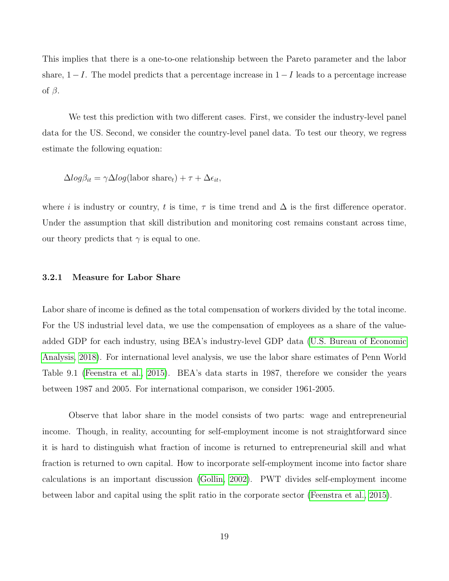This implies that there is a one-to-one relationship between the Pareto parameter and the labor share,  $1-I$ . The model predicts that a percentage increase in  $1-I$  leads to a percentage increase of  $\beta$ .

We test this prediction with two different cases. First, we consider the industry-level panel data for the US. Second, we consider the country-level panel data. To test our theory, we regress estimate the following equation:

$$
\Delta log\beta_{it} = \gamma \Delta log(labor share_t) + \tau + \Delta \epsilon_{it},
$$

where i is industry or country, t is time,  $\tau$  is time trend and  $\Delta$  is the first difference operator. Under the assumption that skill distribution and monitoring cost remains constant across time, our theory predicts that  $\gamma$  is equal to one.

#### 3.2.1 Measure for Labor Share

Labor share of income is defined as the total compensation of workers divided by the total income. For the US industrial level data, we use the compensation of employees as a share of the valueadded GDP for each industry, using BEA's industry-level GDP data [\(U.S. Bureau of Economic](#page-34-3) [Analysis, 2018\)](#page-34-3). For international level analysis, we use the labor share estimates of Penn World Table 9.1 [\(Feenstra et al., 2015\)](#page-31-3). BEA's data starts in 1987, therefore we consider the years between 1987 and 2005. For international comparison, we consider 1961-2005.

Observe that labor share in the model consists of two parts: wage and entrepreneurial income. Though, in reality, accounting for self-employment income is not straightforward since it is hard to distinguish what fraction of income is returned to entrepreneurial skill and what fraction is returned to own capital. How to incorporate self-employment income into factor share calculations is an important discussion [\(Gollin, 2002\)](#page-32-9). PWT divides self-employment income between labor and capital using the split ratio in the corporate sector [\(Feenstra et al., 2015\)](#page-31-3).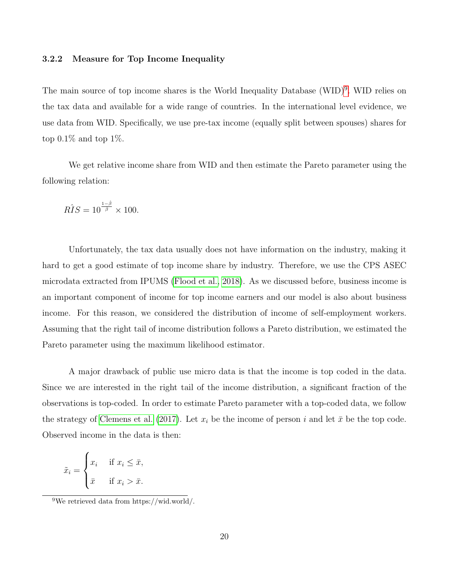#### 3.2.2 Measure for Top Income Inequality

The main source of top income shares is the World Inequality Database (WID)<sup>[9](#page-20-0)</sup>. WID relies on the tax data and available for a wide range of countries. In the international level evidence, we use data from WID. Specifically, we use pre-tax income (equally split between spouses) shares for top  $0.1\%$  and top  $1\%$ .

We get relative income share from WID and then estimate the Pareto parameter using the following relation:

$$
R\hat{I}S = 10^{\frac{1-\hat{\beta}}{\hat{\beta}}} \times 100.
$$

Unfortunately, the tax data usually does not have information on the industry, making it hard to get a good estimate of top income share by industry. Therefore, we use the CPS ASEC microdata extracted from IPUMS [\(Flood et al., 2018\)](#page-32-10). As we discussed before, business income is an important component of income for top income earners and our model is also about business income. For this reason, we considered the distribution of income of self-employment workers. Assuming that the right tail of income distribution follows a Pareto distribution, we estimated the Pareto parameter using the maximum likelihood estimator.

A major drawback of public use micro data is that the income is top coded in the data. Since we are interested in the right tail of the income distribution, a significant fraction of the observations is top-coded. In order to estimate Pareto parameter with a top-coded data, we follow the strategy of [Clemens et al.](#page-31-4) [\(2017\)](#page-31-4). Let  $x_i$  be the income of person i and let  $\bar{x}$  be the top code. Observed income in the data is then:

$$
\tilde{x}_i = \begin{cases} x_i & \text{if } x_i \leq \bar{x}, \\ \bar{x} & \text{if } x_i > \bar{x}. \end{cases}
$$

<span id="page-20-0"></span><sup>&</sup>lt;sup>9</sup>We retrieved data from https://wid.world/.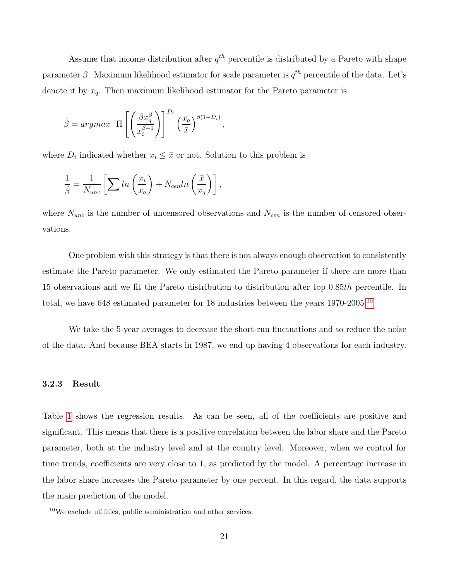Assume that income distribution after  $q^{th}$  percentile is distributed by a Pareto with shape parameter  $\beta$ . Maximum likelihood estimator for scale parameter is  $q^{th}$  percentile of the data. Let's denote it by  $x_q$ . Then maximum likelihood estimator for the Pareto parameter is

$$
\hat{\beta} = argmax \ \Pi \left[ \left( \frac{\beta x_q^{\beta}}{x_i^{\beta+1}} \right) \right]^{D_i} \left( \frac{x_q}{\bar{x}} \right)^{\beta(1-D_i)},
$$

where  $D_i$  indicated whether  $x_i \leq \bar{x}$  or not. Solution to this problem is

$$
\frac{1}{\hat{\beta}} = \frac{1}{N_{unc}} \left[ \sum ln \left( \frac{x_i}{x_q} \right) + N_{cen} ln \left( \frac{\bar{x}}{x_q} \right) \right],
$$

where  $N_{unc}$  is the number of uncensored observations and  $N_{cen}$  is the number of censored observations.

One problem with this strategy is that there is not always enough observation to consistently estimate the Pareto parameter. We only estimated the Pareto parameter if there are more than 15 observations and we fit the Pareto distribution to distribution after top 0.85th percentile. In total, we have 648 estimated parameter for 18 industries between the years 1970-2005.<sup>[10](#page-21-0)</sup>

We take the 5-year averages to decrease the short-run fluctuations and to reduce the noise of the data. And because BEA starts in 1987, we end up having 4 observations for each industry.

#### 3.2.3 Result

Table [1](#page-22-0) shows the regression results. As can be seen, all of the coefficients are positive and significant. This means that there is a positive correlation between the labor share and the Pareto parameter, both at the industry level and at the country level. Moreover, when we control for time trends, coefficients are very close to 1, as predicted by the model. A percentage increase in the labor share increases the Pareto parameter by one percent. In this regard, the data supports the main prediction of the model.

<span id="page-21-0"></span><sup>10</sup>We exclude utilities, public administration and other services.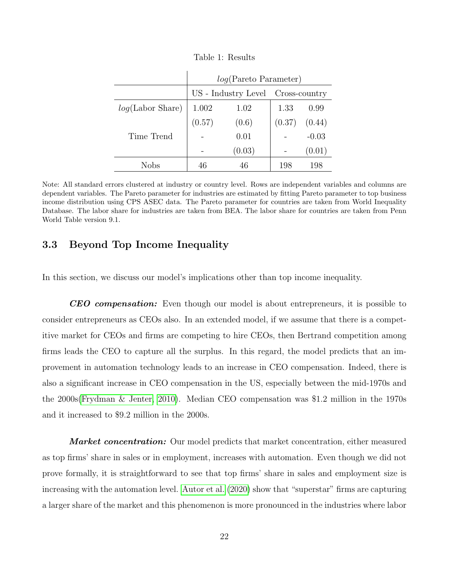<span id="page-22-0"></span>

|                     | log(Pareto Parameter)             |        |        |         |
|---------------------|-----------------------------------|--------|--------|---------|
|                     | US - Industry Level Cross-country |        |        |         |
| $log(Labor\ Share)$ | 1.002                             | 1.02   | 1.33   | 0.99    |
|                     | (0.57)                            | (0.6)  | (0.37) | (0.44)  |
| Time Trend          |                                   | 0.01   |        | $-0.03$ |
|                     |                                   | (0.03) |        | (0.01)  |
| Nobs                | 46                                | 46     | 198    | 198     |

Table 1: Results

 $\overline{1}$ 

Note: All standard errors clustered at industry or country level. Rows are independent variables and columns are dependent variables. The Pareto parameter for industries are estimated by fitting Pareto parameter to top business income distribution using CPS ASEC data. The Pareto parameter for countries are taken from World Inequality Database. The labor share for industries are taken from BEA. The labor share for countries are taken from Penn World Table version 9.1.

## 3.3 Beyond Top Income Inequality

In this section, we discuss our model's implications other than top income inequality.

**CEO compensation:** Even though our model is about entrepreneurs, it is possible to consider entrepreneurs as CEOs also. In an extended model, if we assume that there is a competitive market for CEOs and firms are competing to hire CEOs, then Bertrand competition among firms leads the CEO to capture all the surplus. In this regard, the model predicts that an improvement in automation technology leads to an increase in CEO compensation. Indeed, there is also a significant increase in CEO compensation in the US, especially between the mid-1970s and the 2000s[\(Frydman & Jenter, 2010\)](#page-32-11). Median CEO compensation was \$1.2 million in the 1970s and it increased to \$9.2 million in the 2000s.

**Market concentration:** Our model predicts that market concentration, either measured as top firms' share in sales or in employment, increases with automation. Even though we did not prove formally, it is straightforward to see that top firms' share in sales and employment size is increasing with the automation level. [Autor et al.](#page-30-8) [\(2020\)](#page-30-8) show that "superstar" firms are capturing a larger share of the market and this phenomenon is more pronounced in the industries where labor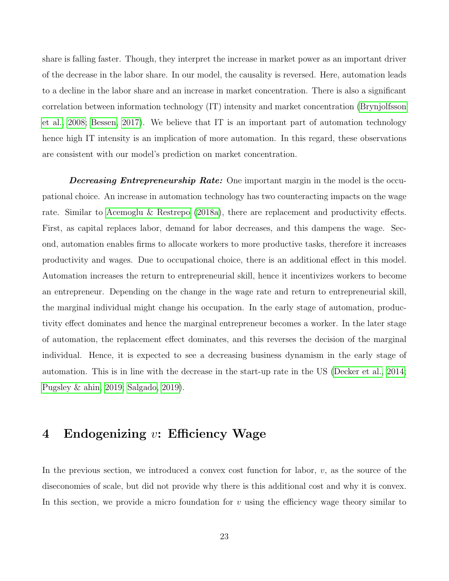share is falling faster. Though, they interpret the increase in market power as an important driver of the decrease in the labor share. In our model, the causality is reversed. Here, automation leads to a decline in the labor share and an increase in market concentration. There is also a significant correlation between information technology (IT) intensity and market concentration [\(Brynjolfsson](#page-31-5) [et al., 2008;](#page-31-5) [Bessen, 2017\)](#page-31-6). We believe that IT is an important part of automation technology hence high IT intensity is an implication of more automation. In this regard, these observations are consistent with our model's prediction on market concentration.

**Decreasing Entrepreneurship Rate:** One important margin in the model is the occupational choice. An increase in automation technology has two counteracting impacts on the wage rate. Similar to [Acemoglu & Restrepo](#page-30-9) [\(2018a\)](#page-30-9), there are replacement and productivity effects. First, as capital replaces labor, demand for labor decreases, and this dampens the wage. Second, automation enables firms to allocate workers to more productive tasks, therefore it increases productivity and wages. Due to occupational choice, there is an additional effect in this model. Automation increases the return to entrepreneurial skill, hence it incentivizes workers to become an entrepreneur. Depending on the change in the wage rate and return to entrepreneurial skill, the marginal individual might change his occupation. In the early stage of automation, productivity effect dominates and hence the marginal entrepreneur becomes a worker. In the later stage of automation, the replacement effect dominates, and this reverses the decision of the marginal individual. Hence, it is expected to see a decreasing business dynamism in the early stage of automation. This is in line with the decrease in the start-up rate in the US [\(Decker et al., 2014;](#page-31-7) [Pugsley & ahin, 2019;](#page-33-10) [Salgado, 2019\)](#page-33-11).

## <span id="page-23-0"></span>4 Endogenizing  $v:$  Efficiency Wage

In the previous section, we introduced a convex cost function for labor, v, as the source of the diseconomies of scale, but did not provide why there is this additional cost and why it is convex. In this section, we provide a micro foundation for  $v$  using the efficiency wage theory similar to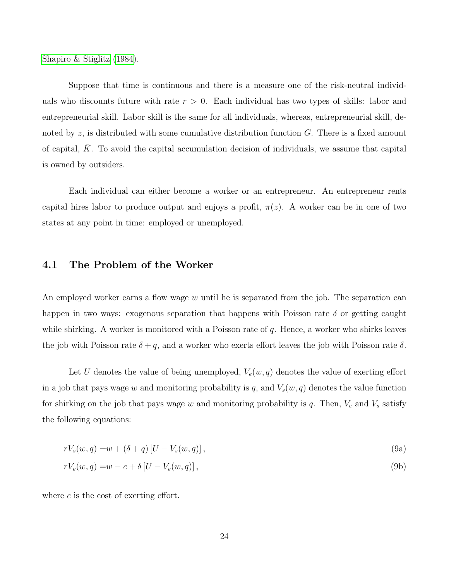[Shapiro & Stiglitz](#page-33-8) [\(1984\)](#page-33-8).

Suppose that time is continuous and there is a measure one of the risk-neutral individuals who discounts future with rate  $r > 0$ . Each individual has two types of skills: labor and entrepreneurial skill. Labor skill is the same for all individuals, whereas, entrepreneurial skill, denoted by z, is distributed with some cumulative distribution function  $G$ . There is a fixed amount of capital,  $K$ . To avoid the capital accumulation decision of individuals, we assume that capital is owned by outsiders.

Each individual can either become a worker or an entrepreneur. An entrepreneur rents capital hires labor to produce output and enjoys a profit,  $\pi(z)$ . A worker can be in one of two states at any point in time: employed or unemployed.

### 4.1 The Problem of the Worker

An employed worker earns a flow wage  $w$  until he is separated from the job. The separation can happen in two ways: exogenous separation that happens with Poisson rate  $\delta$  or getting caught while shirking. A worker is monitored with a Poisson rate of  $q$ . Hence, a worker who shirks leaves the job with Poisson rate  $\delta + q$ , and a worker who exerts effort leaves the job with Poisson rate  $\delta$ .

Let U denotes the value of being unemployed,  $V_e(w, q)$  denotes the value of exerting effort in a job that pays wage w and monitoring probability is q, and  $V_s(w, q)$  denotes the value function for shirking on the job that pays wage w and monitoring probability is q. Then,  $V_e$  and  $V_s$  satisfy the following equations:

<span id="page-24-1"></span><span id="page-24-0"></span>
$$
rV_s(w, q) = w + (\delta + q)[U - V_s(w, q)],
$$
\n(9a)

$$
rV_e(w, q) = w - c + \delta [U - V_e(w, q)],
$$
\n(9b)

where  $c$  is the cost of exerting effort.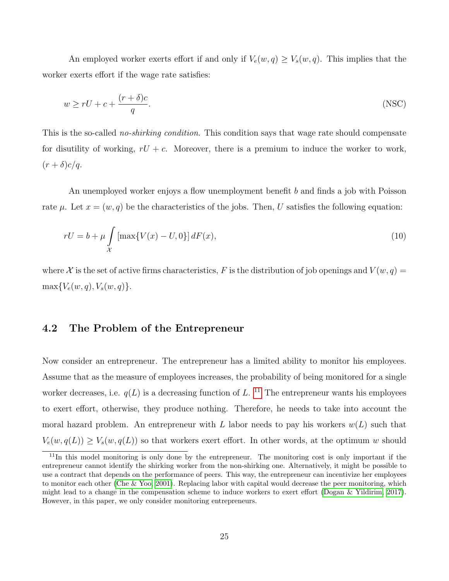An employed worker exerts effort if and only if  $V_e(w,q) \geq V_s(w,q)$ . This implies that the worker exerts effort if the wage rate satisfies:

<span id="page-25-2"></span><span id="page-25-1"></span>
$$
w \ge rU + c + \frac{(r+\delta)c}{q}.\tag{NSC}
$$

This is the so-called *no-shirking condition*. This condition says that wage rate should compensate for disutility of working,  $rU + c$ . Moreover, there is a premium to induce the worker to work,  $(r+\delta)c/q$ .

An unemployed worker enjoys a flow unemployment benefit b and finds a job with Poisson rate  $\mu$ . Let  $x = (w, q)$  be the characteristics of the jobs. Then, U satisfies the following equation:

$$
rU = b + \mu \int_{\mathcal{X}} \left[ \max \{ V(x) - U, 0 \} \right] dF(x), \tag{10}
$$

where X is the set of active firms characteristics, F is the distribution of job openings and  $V(w, q) =$  $\max\{V_e(w, q), V_s(w, q)\}.$ 

### 4.2 The Problem of the Entrepreneur

Now consider an entrepreneur. The entrepreneur has a limited ability to monitor his employees. Assume that as the measure of employees increases, the probability of being monitored for a single worker decreases, i.e.  $q(L)$  is a decreasing function of L.<sup>[11](#page-25-0)</sup> The entrepreneur wants his employees to exert effort, otherwise, they produce nothing. Therefore, he needs to take into account the moral hazard problem. An entrepreneur with L labor needs to pay his workers  $w(L)$  such that  $V_e(w, q(L)) \ge V_s(w, q(L))$  so that workers exert effort. In other words, at the optimum w should

<span id="page-25-0"></span> $11$ In this model monitoring is only done by the entrepreneur. The monitoring cost is only important if the entrepreneur cannot identify the shirking worker from the non-shirking one. Alternatively, it might be possible to use a contract that depends on the performance of peers. This way, the entrepreneur can incentivize her employees to monitor each other [\(Che & Yoo, 2001\)](#page-31-8). Replacing labor with capital would decrease the peer monitoring, which might lead to a change in the compensation scheme to induce workers to exert effort [\(Dogan & Yildirim, 2017\)](#page-31-1). However, in this paper, we only consider monitoring entrepreneurs.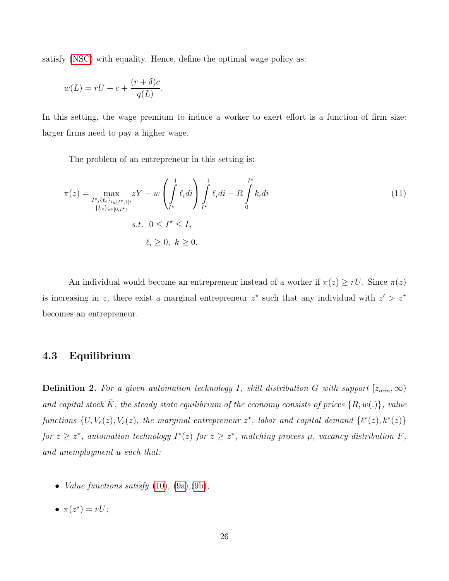satisfy [\(NSC\)](#page-25-1) with equality. Hence, define the optimal wage policy as:

$$
w(L) = rU + c + \frac{(r+\delta)c}{q(L)}.
$$

In this setting, the wage premium to induce a worker to exert effort is a function of firm size: larger firms need to pay a higher wage.

<span id="page-26-0"></span>The problem of an entrepreneur in this setting is:

$$
\pi(z) = \max_{\substack{I^{\star}, \{\ell_i\}_{i \in [I^{\star}, 1]}, \\ \{k_s\}_{s \in [0, I^{\star})}}} zY - w \left( \int_{I^{\star}}^1 \ell_i di \right) \int_{I^{\star}}^1 \ell_i di - R \int_0^{I^{\star}} k_i di
$$
\n
$$
s.t. \quad 0 \le I^{\star} \le I,
$$
\n
$$
\ell_i \ge 0, \ k \ge 0.
$$
\n(11)

An individual would become an entrepreneur instead of a worker if  $\pi(z) \geq rU$ . Since  $\pi(z)$ is increasing in z, there exist a marginal entrepreneur  $z^*$  such that any individual with  $z' > z^*$ becomes an entrepreneur.

## 4.3 Equilibrium

**Definition 2.** For a given automation technology I, skill distribution G with support  $[z_{min}, \infty)$ and capital stock  $\overline{K}$ , the steady state equilibrium of the economy consists of prices  $\{R, w(.)\}$ , value functions  $\{U, V_e(z), V_s(z),\$  the marginal entrepreneur  $z^*$ , labor and capital demand  $\{\ell^*(z), k^*(z)\}$ for  $z \geq z^*$ , automation technology  $I^*(z)$  for  $z \geq z^*$ , matching process  $\mu$ , vacancy distribution F, and unemployment u such that:

- *Value functions satisfy*  $(10)$ ,  $(9a)$ ,  $(9b)$ ;
- $\pi(z^*) = rU;$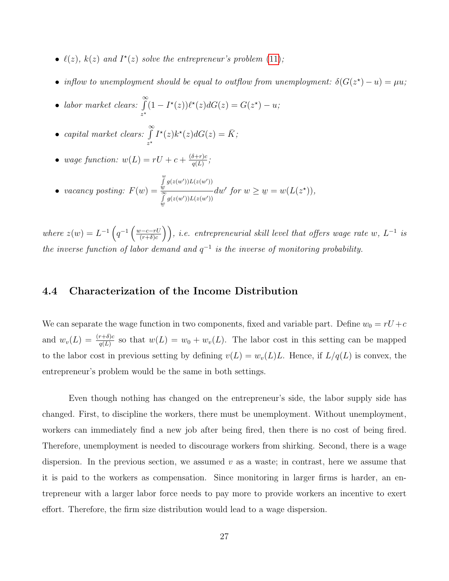- $\ell(z)$ ,  $k(z)$  and  $I^*(z)$  solve the entrepreneur's problem [\(11\)](#page-26-0);
- inflow to unemployment should be equal to outflow from unemployment:  $\delta(G(z^*)-u) = \mu u$ ;
- labor market clears:  $\int_0^\infty$  $\int_{z^*} (1 - I^*(z)) \ell^*(z) dG(z) = G(z^*) - u;$

• capital market clears: 
$$
\int_{z^*}^{\infty} I^*(z)k^*(z)dG(z) = \overline{K};
$$

• wage function:  $w(L) = rU + c + \frac{(\delta+r)c}{\sigma(L)}$  $\frac{\sigma+r)c}{q(L)}$ ;

• *vacancy posting*: 
$$
F(w) = \frac{\int_{w}^{w} g(z(w'))L(z(w'))}{\int_{w}^{S} g(z(w'))L(z(w'))} dw' \text{ for } w \geq w = w(L(z^*)),
$$

where  $z(w) = L^{-1} \left( q^{-1} \left( \frac{w-c-rU}{(r+\delta)c} \right) \right)$  $\left(\frac{v-c-rU}{(r+\delta)c}\right)$ , i.e. entrepreneurial skill level that offers wage rate w,  $L^{-1}$  is the inverse function of labor demand and  $q^{-1}$  is the inverse of monitoring probability.

## 4.4 Characterization of the Income Distribution

We can separate the wage function in two components, fixed and variable part. Define  $w_0 = rU + c$ and  $w_v(L) = \frac{(r+\delta)c}{q(L)}$  so that  $w(L) = w_0 + w_v(L)$ . The labor cost in this setting can be mapped to the labor cost in previous setting by defining  $v(L) = w_v(L)L$ . Hence, if  $L/q(L)$  is convex, the entrepreneur's problem would be the same in both settings.

Even though nothing has changed on the entrepreneur's side, the labor supply side has changed. First, to discipline the workers, there must be unemployment. Without unemployment, workers can immediately find a new job after being fired, then there is no cost of being fired. Therefore, unemployment is needed to discourage workers from shirking. Second, there is a wage dispersion. In the previous section, we assumed  $v$  as a waste; in contrast, here we assume that it is paid to the workers as compensation. Since monitoring in larger firms is harder, an entrepreneur with a larger labor force needs to pay more to provide workers an incentive to exert effort. Therefore, the firm size distribution would lead to a wage dispersion.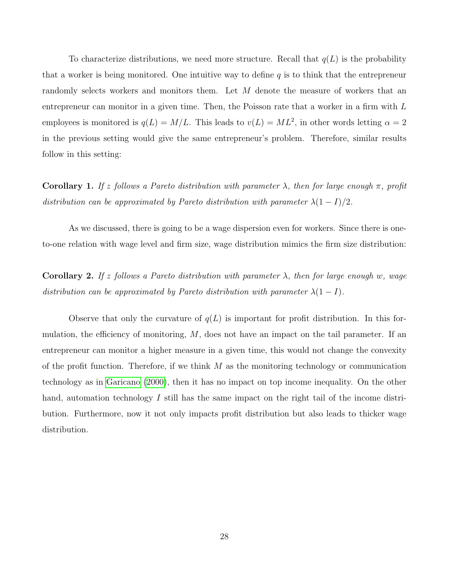To characterize distributions, we need more structure. Recall that  $q(L)$  is the probability that a worker is being monitored. One intuitive way to define  $q$  is to think that the entrepreneur randomly selects workers and monitors them. Let M denote the measure of workers that an entrepreneur can monitor in a given time. Then, the Poisson rate that a worker in a firm with  $L$ employees is monitored is  $q(L) = M/L$ . This leads to  $v(L) = ML^2$ , in other words letting  $\alpha = 2$ in the previous setting would give the same entrepreneur's problem. Therefore, similar results follow in this setting:

**Corollary 1.** If z follows a Pareto distribution with parameter  $\lambda$ , then for large enough  $\pi$ , profit distribution can be approximated by Pareto distribution with parameter  $\lambda(1-I)/2$ .

As we discussed, there is going to be a wage dispersion even for workers. Since there is oneto-one relation with wage level and firm size, wage distribution mimics the firm size distribution:

**Corollary 2.** If z follows a Pareto distribution with parameter  $\lambda$ , then for large enough w, wage distribution can be approximated by Pareto distribution with parameter  $\lambda(1-I)$ .

Observe that only the curvature of  $q(L)$  is important for profit distribution. In this formulation, the efficiency of monitoring,  $M$ , does not have an impact on the tail parameter. If an entrepreneur can monitor a higher measure in a given time, this would not change the convexity of the profit function. Therefore, if we think  $M$  as the monitoring technology or communication technology as in [Garicano](#page-32-5) [\(2000\)](#page-32-5), then it has no impact on top income inequality. On the other hand, automation technology I still has the same impact on the right tail of the income distribution. Furthermore, now it not only impacts profit distribution but also leads to thicker wage distribution.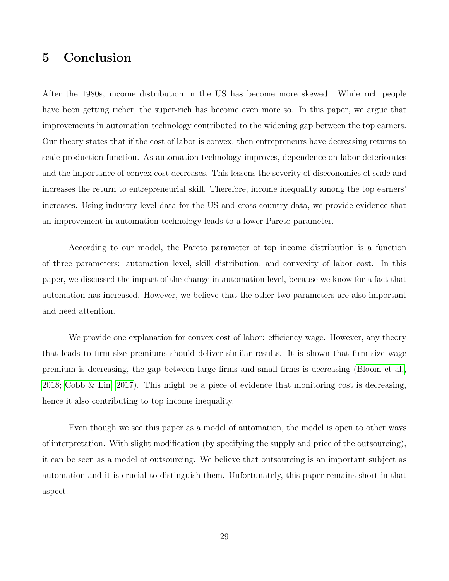## 5 Conclusion

After the 1980s, income distribution in the US has become more skewed. While rich people have been getting richer, the super-rich has become even more so. In this paper, we argue that improvements in automation technology contributed to the widening gap between the top earners. Our theory states that if the cost of labor is convex, then entrepreneurs have decreasing returns to scale production function. As automation technology improves, dependence on labor deteriorates and the importance of convex cost decreases. This lessens the severity of diseconomies of scale and increases the return to entrepreneurial skill. Therefore, income inequality among the top earners' increases. Using industry-level data for the US and cross country data, we provide evidence that an improvement in automation technology leads to a lower Pareto parameter.

According to our model, the Pareto parameter of top income distribution is a function of three parameters: automation level, skill distribution, and convexity of labor cost. In this paper, we discussed the impact of the change in automation level, because we know for a fact that automation has increased. However, we believe that the other two parameters are also important and need attention.

We provide one explanation for convex cost of labor: efficiency wage. However, any theory that leads to firm size premiums should deliver similar results. It is shown that firm size wage premium is decreasing, the gap between large firms and small firms is decreasing [\(Bloom et al.,](#page-31-9) [2018;](#page-31-9) [Cobb & Lin, 2017\)](#page-31-10). This might be a piece of evidence that monitoring cost is decreasing, hence it also contributing to top income inequality.

Even though we see this paper as a model of automation, the model is open to other ways of interpretation. With slight modification (by specifying the supply and price of the outsourcing), it can be seen as a model of outsourcing. We believe that outsourcing is an important subject as automation and it is crucial to distinguish them. Unfortunately, this paper remains short in that aspect.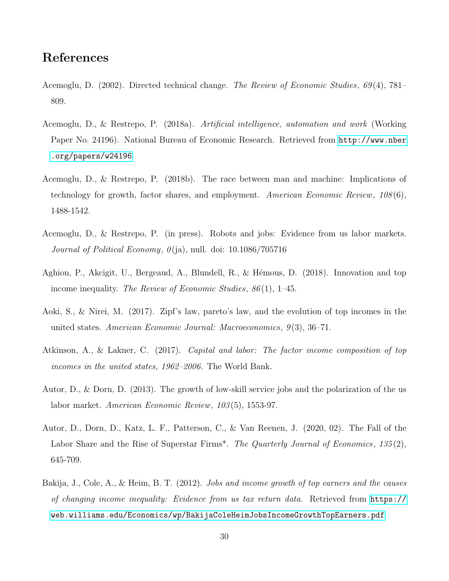## References

- <span id="page-30-1"></span>Acemoglu, D. (2002). Directed technical change. The Review of Economic Studies, 69(4), 781– 809.
- <span id="page-30-9"></span>Acemoglu, D., & Restrepo, P. (2018a). Artificial intelligence, automation and work (Working Paper No. 24196). National Bureau of Economic Research. Retrieved from [http://www.nber](http://www.nber.org/papers/w24196) [.org/papers/w24196](http://www.nber.org/papers/w24196)
- <span id="page-30-0"></span>Acemoglu, D., & Restrepo, P. (2018b). The race between man and machine: Implications of technology for growth, factor shares, and employment. American Economic Review, 108(6), 1488-1542.
- <span id="page-30-3"></span>Acemoglu, D., & Restrepo, P. (in press). Robots and jobs: Evidence from us labor markets. Journal of Political Economy,  $\theta$ (ja), null. doi: 10.1086/705716
- <span id="page-30-5"></span>Aghion, P., Akcigit, U., Bergeaud, A., Blundell, R., & Hémous, D. (2018). Innovation and top income inequality. The Review of Economic Studies,  $86(1)$ , 1–45.
- <span id="page-30-4"></span>Aoki, S., & Nirei, M. (2017). Zipf's law, pareto's law, and the evolution of top incomes in the united states. American Economic Journal: Macroeconomics,  $9(3)$ ,  $36-71$ .
- <span id="page-30-6"></span>Atkinson, A., & Lakner, C. (2017). Capital and labor: The factor income composition of top incomes in the united states, 1962–2006. The World Bank.
- <span id="page-30-2"></span>Autor, D., & Dorn, D. (2013). The growth of low-skill service jobs and the polarization of the us labor market. American Economic Review, 103 (5), 1553-97.
- <span id="page-30-8"></span>Autor, D., Dorn, D., Katz, L. F., Patterson, C., & Van Reenen, J. (2020, 02). The Fall of the Labor Share and the Rise of Superstar Firms<sup>\*</sup>. The Quarterly Journal of Economics,  $135(2)$ , 645-709.
- <span id="page-30-7"></span>Bakija, J., Cole, A., & Heim, B. T. (2012). Jobs and income growth of top earners and the causes of changing income inequality: Evidence from us tax return data. Retrieved from [https://](https://web.williams.edu/Economics/wp/BakijaColeHeimJobsIncomeGrowthTopEarners.pdf) [web.williams.edu/Economics/wp/BakijaColeHeimJobsIncomeGrowthTopEarners.pdf](https://web.williams.edu/Economics/wp/BakijaColeHeimJobsIncomeGrowthTopEarners.pdf)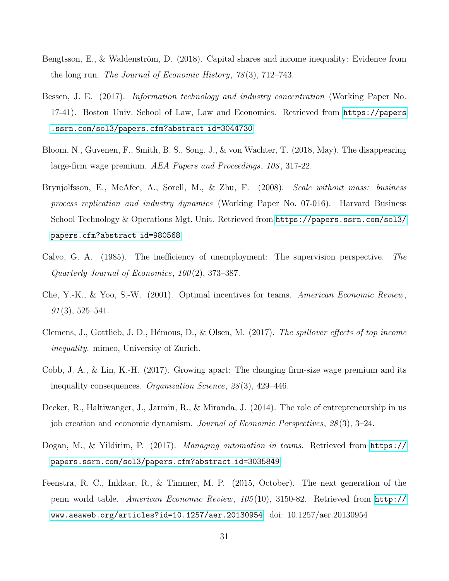- <span id="page-31-0"></span>Bengtsson, E., & Waldenström, D.  $(2018)$ . Capital shares and income inequality: Evidence from the long run. The Journal of Economic History, 78 (3), 712–743.
- <span id="page-31-6"></span>Bessen, J. E. (2017). Information technology and industry concentration (Working Paper No. 17-41). Boston Univ. School of Law, Law and Economics. Retrieved from [https://papers](https://papers.ssrn.com/sol3/papers.cfm?abstract_id=3044730) [.ssrn.com/sol3/papers.cfm?abstract](https://papers.ssrn.com/sol3/papers.cfm?abstract_id=3044730) id=3044730
- <span id="page-31-9"></span>Bloom, N., Guvenen, F., Smith, B. S., Song, J., & von Wachter, T. (2018, May). The disappearing large-firm wage premium. AEA Papers and Proceedings, 108 , 317-22.
- <span id="page-31-5"></span>Brynjolfsson, E., McAfee, A., Sorell, M., & Zhu, F. (2008). Scale without mass: business process replication and industry dynamics (Working Paper No. 07-016). Harvard Business School Technology & Operations Mgt. Unit. Retrieved from [https://papers.ssrn.com/sol3/](https://papers.ssrn.com/sol3/papers.cfm?abstract_id=980568) [papers.cfm?abstract](https://papers.ssrn.com/sol3/papers.cfm?abstract_id=980568)\_id=980568
- <span id="page-31-2"></span>Calvo, G. A. (1985). The inefficiency of unemployment: The supervision perspective. The Quarterly Journal of Economics,  $100(2)$ , 373–387.
- <span id="page-31-8"></span>Che, Y.-K., & Yoo, S.-W. (2001). Optimal incentives for teams. American Economic Review,  $91(3), 525-541.$
- <span id="page-31-4"></span>Clemens, J., Gottlieb, J. D., Hémous, D., & Olsen, M. (2017). The spillover effects of top income inequality. mimeo, University of Zurich.
- <span id="page-31-10"></span>Cobb, J. A., & Lin, K.-H. (2017). Growing apart: The changing firm-size wage premium and its inequality consequences. Organization Science, 28 (3), 429–446.
- <span id="page-31-7"></span>Decker, R., Haltiwanger, J., Jarmin, R., & Miranda, J. (2014). The role of entrepreneurship in us job creation and economic dynamism. Journal of Economic Perspectives, 28 (3), 3–24.
- <span id="page-31-1"></span>Dogan, M., & Yildirim, P. (2017). Managing automation in teams. Retrieved from [https://](https://papers.ssrn.com/sol3/papers.cfm?abstract_id=3035849) [papers.ssrn.com/sol3/papers.cfm?abstract](https://papers.ssrn.com/sol3/papers.cfm?abstract_id=3035849) id=3035849
- <span id="page-31-3"></span>Feenstra, R. C., Inklaar, R., & Timmer, M. P. (2015, October). The next generation of the penn world table. American Economic Review, 105 (10), 3150-82. Retrieved from [http://](http://www.aeaweb.org/articles?id=10.1257/aer.20130954) [www.aeaweb.org/articles?id=10.1257/aer.20130954](http://www.aeaweb.org/articles?id=10.1257/aer.20130954) doi: 10.1257/aer.20130954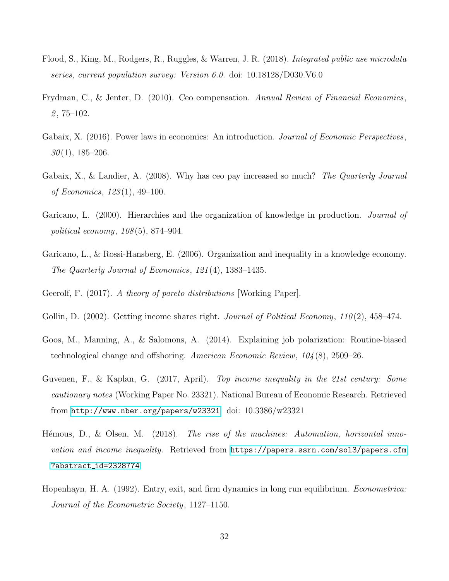- <span id="page-32-10"></span>Flood, S., King, M., Rodgers, R., Ruggles, & Warren, J. R. (2018). Integrated public use microdata series, current population survey: Version 6.0. doi: 10.18128/D030.V6.0
- <span id="page-32-11"></span>Frydman, C., & Jenter, D. (2010). Ceo compensation. Annual Review of Financial Economics,  $2,75-102.$
- <span id="page-32-8"></span>Gabaix, X. (2016). Power laws in economics: An introduction. *Journal of Economic Perspectives*,  $30(1), 185-206.$
- <span id="page-32-3"></span>Gabaix, X., & Landier, A. (2008). Why has ceo pay increased so much? The Quarterly Journal of Economics, 123 (1), 49–100.
- <span id="page-32-5"></span>Garicano, L. (2000). Hierarchies and the organization of knowledge in production. *Journal of* political economy,  $108(5)$ , 874–904.
- <span id="page-32-6"></span>Garicano, L., & Rossi-Hansberg, E. (2006). Organization and inequality in a knowledge economy. The Quarterly Journal of Economics, 121 (4), 1383–1435.
- <span id="page-32-4"></span>Geerolf, F. (2017). A theory of pareto distributions [Working Paper].
- <span id="page-32-9"></span>Gollin, D. (2002). Getting income shares right. *Journal of Political Economy*,  $110(2)$ ,  $458-474$ .
- <span id="page-32-0"></span>Goos, M., Manning, A., & Salomons, A. (2014). Explaining job polarization: Routine-biased technological change and offshoring. American Economic Review,  $104(8)$ , 2509–26.
- <span id="page-32-2"></span>Guvenen, F., & Kaplan, G. (2017, April). Top income inequality in the 21st century: Some cautionary notes (Working Paper No. 23321). National Bureau of Economic Research. Retrieved from <http://www.nber.org/papers/w23321> doi: 10.3386/w23321
- <span id="page-32-1"></span>Hémous, D., & Olsen, M. (2018). The rise of the machines: Automation, horizontal innovation and income inequality. Retrieved from [https://papers.ssrn.com/sol3/papers.cfm](https://papers.ssrn.com/sol3/papers.cfm?abstract_id=2328774) ?abstract [id=2328774](https://papers.ssrn.com/sol3/papers.cfm?abstract_id=2328774)
- <span id="page-32-7"></span>Hopenhayn, H. A. (1992). Entry, exit, and firm dynamics in long run equilibrium. *Econometrica:* Journal of the Econometric Society, 1127–1150.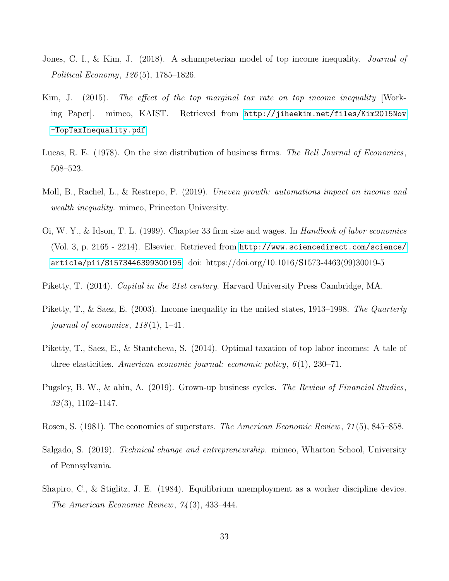- <span id="page-33-5"></span>Jones, C. I., & Kim, J. (2018). A schumpeterian model of top income inequality. *Journal of* Political Economy, 126 (5), 1785–1826.
- <span id="page-33-4"></span>Kim, J. (2015). The effect of the top marginal tax rate on top income inequality [Working Paper]. mimeo, KAIST. Retrieved from [http://jiheekim.net/files/Kim2015Nov](http://jiheekim.net/files/Kim2015Nov-TopTaxInequality.pdf) [-TopTaxInequality.pdf](http://jiheekim.net/files/Kim2015Nov-TopTaxInequality.pdf)
- <span id="page-33-0"></span>Lucas, R. E. (1978). On the size distribution of business firms. The Bell Journal of Economics, 508–523.
- <span id="page-33-2"></span>Moll, B., Rachel, L., & Restrepo, P. (2019). Uneven growth: automations impact on income and wealth inequality. mimeo, Princeton University.
- <span id="page-33-9"></span>Oi, W. Y., & Idson, T. L. (1999). Chapter 33 firm size and wages. In Handbook of labor economics (Vol. 3, p. 2165 - 2214). Elsevier. Retrieved from [http://www.sciencedirect.com/science/](http://www.sciencedirect.com/science/article/pii/S1573446399300195) [article/pii/S1573446399300195](http://www.sciencedirect.com/science/article/pii/S1573446399300195) doi: https://doi.org/10.1016/S1573-4463(99)30019-5
- <span id="page-33-6"></span>Piketty, T. (2014). *Capital in the 21st century*. Harvard University Press Cambridge, MA.
- <span id="page-33-7"></span>Piketty, T., & Saez, E. (2003). Income inequality in the united states, 1913–1998. The Quarterly journal of economics,  $118(1)$ , 1–41.
- <span id="page-33-3"></span>Piketty, T., Saez, E., & Stantcheva, S. (2014). Optimal taxation of top labor incomes: A tale of three elasticities. American economic journal: economic policy,  $6(1)$ , 230–71.
- <span id="page-33-10"></span>Pugsley, B. W., & ahin, A. (2019). Grown-up business cycles. The Review of Financial Studies,  $32(3)$ , 1102–1147.
- <span id="page-33-1"></span>Rosen, S. (1981). The economics of superstars. *The American Economic Review*, 71(5), 845–858.
- <span id="page-33-11"></span>Salgado, S. (2019). Technical change and entrepreneurship. mimeo, Wharton School, University of Pennsylvania.
- <span id="page-33-8"></span>Shapiro, C., & Stiglitz, J. E. (1984). Equilibrium unemployment as a worker discipline device. The American Economic Review, 74 (3), 433–444.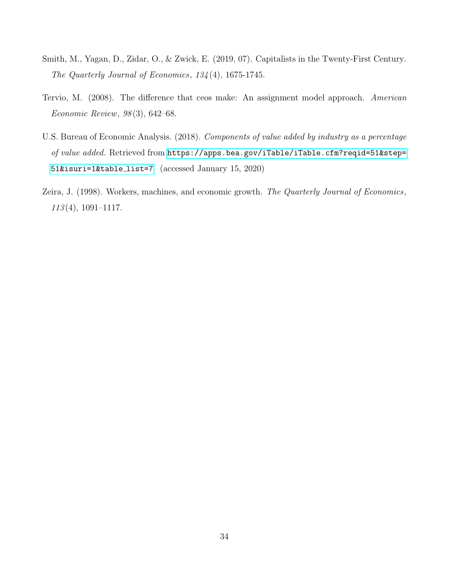- <span id="page-34-0"></span>Smith, M., Yagan, D., Zidar, O., & Zwick, E. (2019, 07). Capitalists in the Twenty-First Century. The Quarterly Journal of Economics, 134 (4), 1675-1745.
- <span id="page-34-1"></span>Tervio, M. (2008). The difference that ceos make: An assignment model approach. American Economic Review, 98 (3), 642–68.
- <span id="page-34-3"></span>U.S. Bureau of Economic Analysis. (2018). Components of value added by industry as a percentage of value added. Retrieved from [https://apps.bea.gov/iTable/iTable.cfm?reqid=51&step=](https://apps.bea.gov/iTable/iTable.cfm?reqid=51&step=51&isuri=1&table_list=7) [51&isuri=1&table](https://apps.bea.gov/iTable/iTable.cfm?reqid=51&step=51&isuri=1&table_list=7) list=7 (accessed January 15, 2020)
- <span id="page-34-2"></span>Zeira, J. (1998). Workers, machines, and economic growth. The Quarterly Journal of Economics, 113 (4), 1091–1117.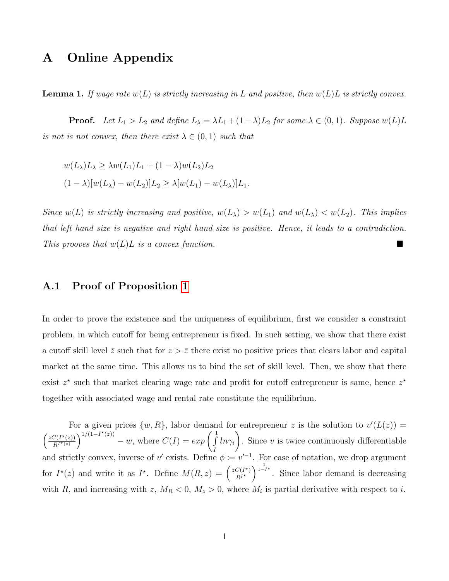## A Online Appendix

**Lemma 1.** If wage rate  $w(L)$  is strictly increasing in L and positive, then  $w(L)L$  is strictly convex.

**Proof.** Let  $L_1 > L_2$  and define  $L_\lambda = \lambda L_1 + (1 - \lambda)L_2$  for some  $\lambda \in (0, 1)$ . Suppose  $w(L)L$ is not is not convex, then there exist  $\lambda \in (0,1)$  such that

$$
w(L_{\lambda})L_{\lambda} \ge \lambda w(L_1)L_1 + (1 - \lambda)w(L_2)L_2
$$
  

$$
(1 - \lambda)[w(L_{\lambda}) - w(L_2)]L_2 \ge \lambda[w(L_1) - w(L_{\lambda})]L_1.
$$

Since  $w(L)$  is strictly increasing and positive,  $w(L_{\lambda}) > w(L_1)$  and  $w(L_{\lambda}) < w(L_2)$ . This implies that left hand size is negative and right hand size is positive. Hence, it leads to a contradiction. This prooves that  $w(L)L$  is a convex function.

### A.1 Proof of Proposition [1](#page-10-1)

In order to prove the existence and the uniqueness of equilibrium, first we consider a constraint problem, in which cutoff for being entrepreneur is fixed. In such setting, we show that there exist a cutoff skill level  $\bar{z}$  such that for  $z > \bar{z}$  there exist no positive prices that clears labor and capital market at the same time. This allows us to bind the set of skill level. Then, we show that there exist  $z^*$  such that market clearing wage rate and profit for cutoff entrepreneur is same, hence  $z^*$ together with associated wage and rental rate constitute the equilibrium.

For a given prices  $\{w, R\}$ , labor demand for entrepreneur z is the solution to  $v'(L(z)) =$  $\int zC(I^{\star}(z))$  $\overline{R^{I^\star(z)}}$  $\int_1^{\frac{1}{1-1^{*}(z)}} - w$ , where  $C(I) = exp \left( \int_1^1$ I  $ln\gamma_i$  $\setminus$ . Since  $v$  is twice continuously differentiable and strictly convex, inverse of v' exists. Define  $\phi := v'^{-1}$ . For ease of notation, we drop argument for  $I^*(z)$  and write it as  $I^*$ . Define  $M(R, z) = \left(\frac{zC(I^*)}{R I^*}\right)$  $\overline{R^{\dot{I}^{\star}}}$  $\int_{1-i\infty}^{\frac{1}{1-i\infty}}$ . Since labor demand is decreasing with R, and increasing with z,  $M_R < 0$ ,  $M_z > 0$ , where  $M_i$  is partial derivative with respect to i.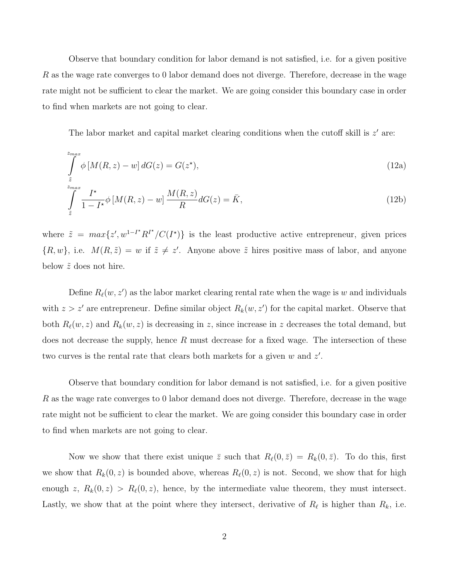Observe that boundary condition for labor demand is not satisfied, i.e. for a given positive  $R$  as the wage rate converges to 0 labor demand does not diverge. Therefore, decrease in the wage rate might not be sufficient to clear the market. We are going consider this boundary case in order to find when markets are not going to clear.

The labor market and capital market clearing conditions when the cutoff skill is  $z'$  are:

<span id="page-36-1"></span>
$$
\int_{\tilde{z}}^{z_{max}} \phi \left[ M(R, z) - w \right] dG(z) = G(z^*),\tag{12a}
$$

<span id="page-36-0"></span>
$$
\int_{\tilde{z}}^{z_{max}} \frac{I^{\star}}{1 - I^{\star}} \phi \left[ M(R, z) - w \right] \frac{M(R, z)}{R} dG(z) = \bar{K},\tag{12b}
$$

where  $\tilde{z} = max\{z', w^{1-I^*} R^{I^*}/C(I^*)\}$  is the least productive active entrepreneur, given prices  $\{R, w\}$ , i.e.  $M(R, \tilde{z}) = w$  if  $\tilde{z} \neq z'$ . Anyone above  $\tilde{z}$  hires positive mass of labor, and anyone below  $\tilde{z}$  does not hire.

Define  $R_{\ell}(w, z')$  as the labor market clearing rental rate when the wage is w and individuals with  $z > z'$  are entrepreneur. Define similar object  $R_k(w, z')$  for the capital market. Observe that both  $R_{\ell}(w, z)$  and  $R_k(w, z)$  is decreasing in z, since increase in z decreases the total demand, but does not decrease the supply, hence  $R$  must decrease for a fixed wage. The intersection of these two curves is the rental rate that clears both markets for a given  $w$  and  $z'$ .

Observe that boundary condition for labor demand is not satisfied, i.e. for a given positive R as the wage rate converges to 0 labor demand does not diverge. Therefore, decrease in the wage rate might not be sufficient to clear the market. We are going consider this boundary case in order to find when markets are not going to clear.

Now we show that there exist unique  $\overline{z}$  such that  $R_{\ell}(0, \overline{z}) = R_{k}(0, \overline{z})$ . To do this, first we show that  $R_k(0, z)$  is bounded above, whereas  $R_\ell(0, z)$  is not. Second, we show that for high enough z,  $R_k(0, z) > R_\ell(0, z)$ , hence, by the intermediate value theorem, they must intersect. Lastly, we show that at the point where they intersect, derivative of  $R_\ell$  is higher than  $R_k$ , i.e.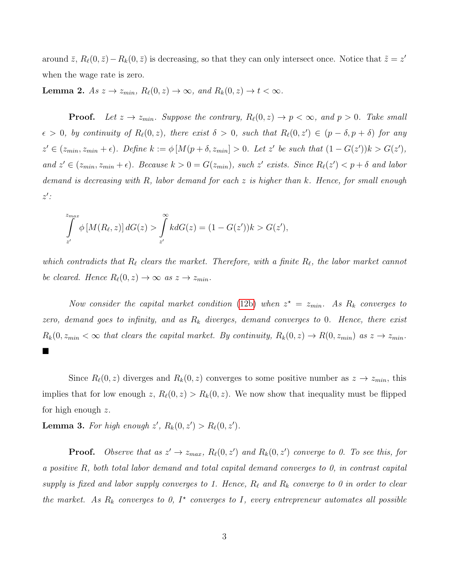around  $\bar{z}$ ,  $R_{\ell}(0, \bar{z}) - R_{k}(0, \bar{z})$  is decreasing, so that they can only intersect once. Notice that  $\tilde{z} = z'$ when the wage rate is zero.

<span id="page-37-0"></span>**Lemma 2.** As  $z \to z_{min}$ ,  $R_{\ell}(0, z) \to \infty$ , and  $R_k(0, z) \to t < \infty$ .

**Proof.** Let  $z \to z_{min}$ . Suppose the contrary,  $R_{\ell}(0, z) \to p < \infty$ , and  $p > 0$ . Take small  $\epsilon > 0$ , by continuity of  $R_{\ell}(0, z)$ , there exist  $\delta > 0$ , such that  $R_{\ell}(0, z') \in (p - \delta, p + \delta)$  for any  $z' \in (z_{min}, z_{min} + \epsilon)$ . Define  $k := \phi \left[ M(p + \delta, z_{min}) > 0$ . Let z' be such that  $(1 - G(z'))k > G(z')$ , and  $z' \in (z_{min}, z_{min} + \epsilon)$ . Because  $k > 0 = G(z_{min})$ , such  $z'$  exists. Since  $R_{\ell}(z') < p + \delta$  and labor demand is decreasing with R, labor demand for each z is higher than k. Hence, for small enough  $z'$ :

$$
\int_{z'}^{z_{max}} \phi \left[ M(R_{\ell}, z) \right] dG(z) > \int_{z'}^{\infty} k dG(z) = (1 - G(z'))k > G(z'),
$$

which contradicts that  $R_\ell$  clears the market. Therefore, with a finite  $R_\ell$ , the labor market cannot be cleared. Hence  $R_{\ell}(0, z) \rightarrow \infty$  as  $z \rightarrow z_{min}$ .

Now consider the capital market condition [\(12b\)](#page-36-0) when  $z^* = z_{min}$ . As  $R_k$  converges to zero, demand goes to infinity, and as  $R_k$  diverges, demand converges to 0. Hence, there exist  $R_k(0, z_{min} < \infty$  that clears the capital market. By continuity,  $R_k(0, z) \to R(0, z_{min})$  as  $z \to z_{min}$ .  $\blacksquare$ 

Since  $R_{\ell}(0, z)$  diverges and  $R_k(0, z)$  converges to some positive number as  $z \to z_{min}$ , this implies that for low enough z,  $R_{\ell}(0, z) > R_{k}(0, z)$ . We now show that inequality must be flipped for high enough z.

<span id="page-37-1"></span>**Lemma 3.** For high enough  $z'$ ,  $R_k(0, z') > R_\ell(0, z')$ .

**Proof.** Observe that as  $z' \to z_{max}$ ,  $R_{\ell}(0, z')$  and  $R_{k}(0, z')$  converge to 0. To see this, for a positive R, both total labor demand and total capital demand converges to 0, in contrast capital supply is fixed and labor supply converges to 1. Hence,  $R_\ell$  and  $R_k$  converge to 0 in order to clear the market. As  $R_k$  converges to 0,  $I^*$  converges to I, every entrepreneur automates all possible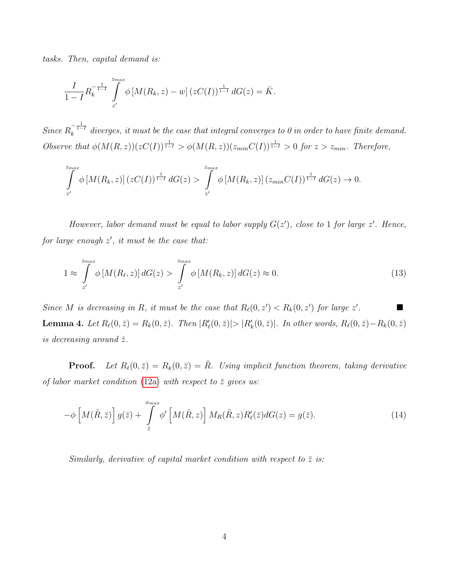tasks. Then, capital demand is:

$$
\frac{I}{1-I}R_k^{-\frac{1}{1-I}}\int_{z'}^{z_{max}}\phi\left[M(R_k,z)-w\right](zC(I))^{\frac{1}{1-I}}dG(z)=\bar{K}.
$$

Since  $R_k^{-\frac{1}{1-I}}$  diverges, it must be the case that integral converges to 0 in order to have finite demand. Observe that  $\phi(M(R, z))(zC(I))^{\frac{1}{1-I}} > \phi(M(R, z))(z_{min}C(I))^{\frac{1}{1-I}} > 0$  for  $z > z_{min}$ . Therefore,

$$
\int_{z'}^{z_{max}} \phi \left[M(R_k, z)\right] (zC(I))^{\frac{1}{1-I}} dG(z) > \int_{z'}^{z_{max}} \phi \left[M(R_k, z)\right] (z_{min}C(I))^{\frac{1}{1-I}} dG(z) \to 0.
$$

However, labor demand must be equal to labor supply  $G(z')$ , close to 1 for large  $z'$ . Hence, for large enough  $z'$ , it must be the case that:

$$
1 \approx \int_{z'}^{z_{max}} \phi \left[ M(R_{\ell}, z) \right] dG(z) > \int_{z'}^{z_{max}} \phi \left[ M(R_{k}, z) \right] dG(z) \approx 0. \tag{13}
$$

<span id="page-38-1"></span>Since M is decreasing in R, it must be the case that  $R_{\ell}(0, z') < R_k(0, z')$  for large z' . **Lemma 4.** Let  $R_{\ell}(0, \bar{z}) = R_k(0, \bar{z})$ . Then  $|R'_{\ell}(0, \bar{z})| > |R'_{k}(0, \bar{z})|$ . In other words,  $R_{\ell}(0, \bar{z}) - R_k(0, \bar{z})$ is decreasing around  $\bar{z}$ .

**Proof.** Let  $R_\ell(0, \bar{z}) = R_k(0, \bar{z}) = \tilde{R}$ . Using implicit function theorem, taking derivative of labor market condition [\(12a\)](#page-36-1) with respect to  $\bar{z}$  gives us:

<span id="page-38-0"></span>
$$
-\phi \left[ M(\tilde{R}, \bar{z}) \right] g(\bar{z}) + \int_{\bar{z}}^{x_{max}} \phi' \left[ M(\tilde{R}, z) \right] M_R(\tilde{R}, z) R'_{\ell}(\bar{z}) dG(z) = g(\bar{z}). \tag{14}
$$

Similarly, derivative of capital market condition with respect to  $\bar{z}$  is: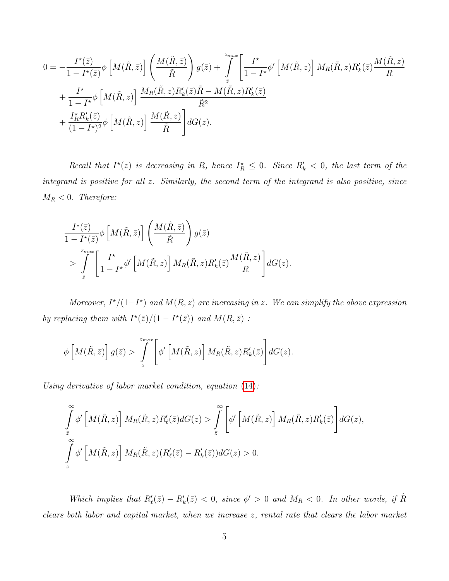$$
0 = -\frac{I^*(\bar{z})}{1 - I^*(\bar{z})} \phi \left[ M(\tilde{R}, \bar{z}) \right] \left( \frac{M(\tilde{R}, \bar{z})}{\tilde{R}} \right) g(\bar{z}) + \int_{\bar{z}}^{z_{max}} \left[ \frac{I^*}{1 - I^*} \phi' \left[ M(\tilde{R}, z) \right] M_R(\tilde{R}, z) R'_k(\bar{z}) \frac{M(\tilde{R}, z)}{R} + \frac{I^*}{1 - I^*} \phi \left[ M(\tilde{R}, z) \right] \frac{M_R(\tilde{R}, z) R'_k(\bar{z}) \tilde{R} - M(\tilde{R}, z) R'_k(\bar{z})}{\tilde{R}^2} + \frac{I^*_{\tilde{R}} R'_k(\bar{z})}{(1 - I^*)^2} \phi \left[ M(\tilde{R}, z) \right] \frac{M(\tilde{R}, z)}{\tilde{R}} \right] dG(z).
$$

Recall that  $I^*(z)$  is decreasing in R, hence  $I_R^* \leq 0$ . Since  $R'_k < 0$ , the last term of the integrand is positive for all z. Similarly, the second term of the integrand is also positive, since  $M_R < 0$ . Therefore:

$$
\frac{I^{\star}(\bar{z})}{1 - I^{\star}(\bar{z})} \phi \left[ M(\tilde{R}, \bar{z}) \right] \left( \frac{M(\tilde{R}, \bar{z})}{\tilde{R}} \right) g(\bar{z})
$$
\n
$$
> \int\limits_{\bar{z}}^{z_{max}} \left[ \frac{I^{\star}}{1 - I^{\star}} \phi' \left[ M(\tilde{R}, z) \right] M_{R}(\tilde{R}, z) R'_{k}(\bar{z}) \frac{M(\tilde{R}, z)}{R} \right] dG(z).
$$

Moreover,  $I^{\star}/(1-I^{\star})$  and  $M(R, z)$  are increasing in z. We can simplify the above expression by replacing them with  $I^{\star}(\bar{z})/(1 - I^{\star}(\bar{z}))$  and  $M(R, \bar{z})$ :

$$
\phi\left[M(\tilde{R},\bar{z})\right]g(\bar{z}) > \int\limits_{\bar{z}}^{z_{max}} \left[\phi'\left[M(\tilde{R},z)\right]M_R(\tilde{R},z)R'_k(\bar{z})\right]dG(z).
$$

Using derivative of labor market condition, equation [\(14\)](#page-38-0):

$$
\int_{\bar{z}}^{\infty} \phi' \left[ M(\tilde{R}, z) \right] M_R(\tilde{R}, z) R'_{\ell}(\bar{z}) dG(z) > \int_{\bar{z}}^{\infty} \left[ \phi' \left[ M(\tilde{R}, z) \right] M_R(\tilde{R}, z) R'_{k}(\bar{z}) \right] dG(z),
$$
  

$$
\int_{\bar{z}}^{\infty} \phi' \left[ M(\tilde{R}, z) \right] M_R(\tilde{R}, z) (R'_{\ell}(\bar{z}) - R'_{k}(\bar{z})) dG(z) > 0.
$$

Which implies that  $R'_\ell(\bar{z}) - R'_k(\bar{z}) < 0$ , since  $\phi' > 0$  and  $M_R < 0$ . In other words, if  $\tilde{R}$ clears both labor and capital market, when we increase z, rental rate that clears the labor market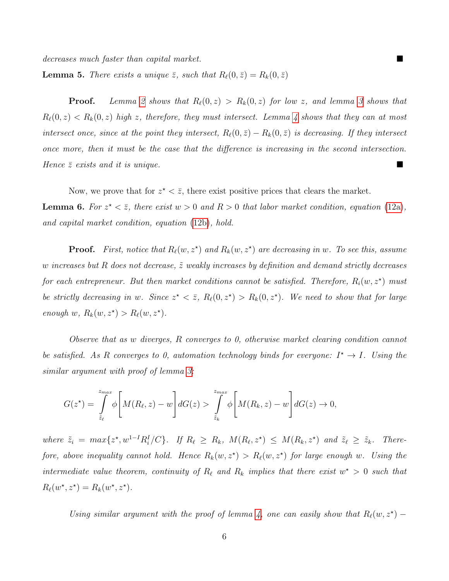decreases much faster than capital market.

**Lemma 5.** There exists a unique  $\bar{z}$ , such that  $R_{\ell}(0, \bar{z}) = R_{k}(0, \bar{z})$ 

**Proof.** Lemma [2](#page-37-0) shows that  $R_{\ell}(0, z) > R_k(0, z)$  for low z, and lemma [3](#page-37-1) shows that  $R_{\ell}(0, z) < R_k(0, z)$  high z, therefore, they must intersect. Lemma [4](#page-38-1) shows that they can at most intersect once, since at the point they intersect,  $R_{\ell}(0, \bar{z}) - R_{k}(0, \bar{z})$  is decreasing. If they intersect once more, then it must be the case that the difference is increasing in the second intersection. Hence  $\bar{z}$  exists and it is unique.

<span id="page-40-0"></span>Now, we prove that for  $z^* < \overline{z}$ , there exist positive prices that clears the market. **Lemma 6.** For  $z^* < \overline{z}$ , there exist  $w > 0$  and  $R > 0$  that labor market condition, equation [\(12a\)](#page-36-1), and capital market condition, equation [\(12b\)](#page-36-0), hold.

**Proof.** First, notice that  $R_\ell(w, z^*)$  and  $R_k(w, z^*)$  are decreasing in w. To see this, assume w increases but R does not decrease,  $\tilde{z}$  weakly increases by definition and demand strictly decreases for each entrepreneur. But then market conditions cannot be satisfied. Therefore,  $R_i(w, z^*)$  must be strictly decreasing in w. Since  $z^* < \overline{z}$ ,  $R_{\ell}(0, z^*) > R_{k}(0, z^*)$ . We need to show that for large enough  $w, R_k(w, z^*) > R_\ell(w, z^*)$ .

Observe that as w diverges, R converges to 0, otherwise market clearing condition cannot be satisfied. As R converges to 0, automation technology binds for everyone:  $I^* \to I$ . Using the similar argument with proof of lemma [3:](#page-37-1)

$$
G(z^*) = \int_{\tilde{z}_\ell}^{z_{max}} \phi \left[ M(R_\ell, z) - w \right] dG(z) > \int_{\tilde{z}_k}^{z_{max}} \phi \left[ M(R_k, z) - w \right] dG(z) \to 0,
$$

where  $\tilde{z}_i = \max\{z^*, w^{1-I}R_i^I/C\}$ . If  $R_\ell \geq R_k$ ,  $M(R_\ell, z^*) \leq M(R_k, z^*)$  and  $\tilde{z}_\ell \geq \tilde{z}_k$ . Therefore, above inequality cannot hold. Hence  $R_k(w, z^*) > R_{\ell}(w, z^*)$  for large enough w. Using the intermediate value theorem, continuity of  $R_\ell$  and  $R_k$  implies that there exist  $w^* > 0$  such that  $R_{\ell}(w^{\star}, z^{\star}) = R_{k}(w^{\star}, z^{\star}).$ 

Using similar argument with the proof of lemma [4,](#page-38-1) one can easily show that  $R_{\ell}(w, z^*)$  –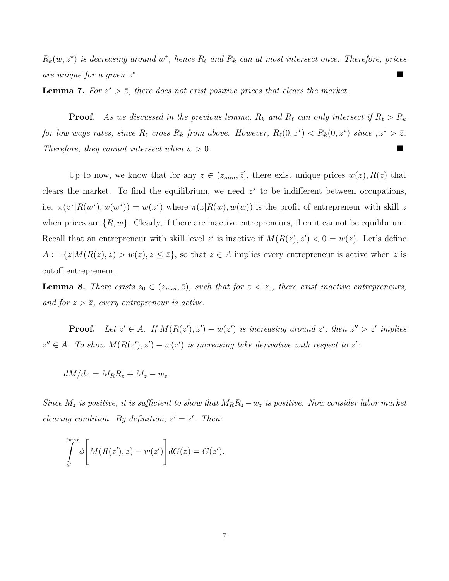$R_k(w, z^*)$  is decreasing around  $w^*$ , hence  $R_\ell$  and  $R_k$  can at most intersect once. Therefore, prices are unique for a given  $z^*$ .

<span id="page-41-0"></span>**Lemma 7.** For  $z^* > \overline{z}$ , there does not exist positive prices that clears the market.

**Proof.** As we discussed in the previous lemma,  $R_k$  and  $R_\ell$  can only intersect if  $R_\ell > R_k$ for low wage rates, since  $R_\ell$  cross  $R_k$  from above. However,  $R_\ell(0, z^\star) < R_k(0, z^\star)$  since  $z^\star > \overline{z}$ . Therefore, they cannot intersect when  $w > 0$ .

Up to now, we know that for any  $z \in (z_{min}, \overline{z}]$ , there exist unique prices  $w(z)$ ,  $R(z)$  that clears the market. To find the equilibrium, we need  $z^*$  to be indifferent between occupations, i.e.  $\pi(z^*|R(w^*), w(w^*)) = w(z^*)$  where  $\pi(z|R(w), w(w))$  is the profit of entrepreneur with skill z when prices are  $\{R, w\}$ . Clearly, if there are inactive entrepreneurs, then it cannot be equilibrium. Recall that an entrepreneur with skill level z' is inactive if  $M(R(z), z') < 0 = w(z)$ . Let's define  $A := \{z | M(R(z), z) > w(z), z \leq \overline{z}\}\$ , so that  $z \in A$  implies every entrepreneur is active when z is cutoff entrepreneur.

<span id="page-41-1"></span>**Lemma 8.** There exists  $z_0 \in (z_{min}, \bar{z})$ , such that for  $z < z_0$ , there exist inactive entrepreneurs, and for  $z > \overline{z}$ , every entrepreneur is active.

**Proof.** Let  $z' \in A$ . If  $M(R(z'), z') - w(z')$  is increasing around  $z'$ , then  $z'' > z'$  implies  $z'' \in A$ . To show  $M(R(z'), z') - w(z')$  is increasing take derivative with respect to z':

$$
dM/dz = M_R R_z + M_z - w_z.
$$

Since  $M_z$  is positive, it is sufficient to show that  $M_R R_z - w_z$  is positive. Now consider labor market clearing condition. By definition,  $\tilde{z}' = z'$ . Then:

$$
\int_{z'}^{z_{max}} \phi \left[ M(R(z'), z) - w(z') \right] dG(z) = G(z').
$$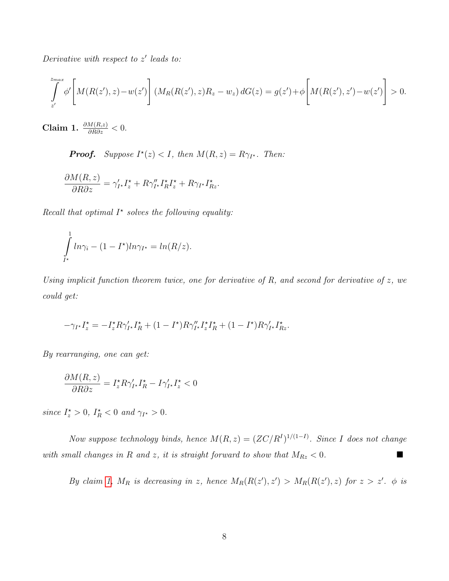Derivative with respect to  $z'$  leads to:

$$
\int_{z'}^{z_{max}} \phi' \left[ M(R(z'), z) - w(z') \right] (M_R(R(z'), z) R_z - w_z) dG(z) = g(z') + \phi \left[ M(R(z'), z') - w(z') \right] > 0.
$$

<span id="page-42-0"></span>Claim 1.  $\frac{\partial M(R,z)}{\partial R \partial z} < 0$ .

**Proof.** Suppose  $I^*(z) < I$ , then  $M(R, z) = R\gamma_{I^*}$ . Then:

$$
\frac{\partial M(R,z)}{\partial R \partial z} = \gamma_{I^*}' I_z^{\star} + R \gamma_{I^*}'' I_R^{\star} I_z^{\star} + R \gamma_{I^*} I_{Rz}^{\star}.
$$

Recall that optimal  $I^*$  solves the following equality:

$$
\int_{I^*}^{1} ln \gamma_i - (1 - I^*) ln \gamma_{I^*} = ln(R/z).
$$

Using implicit function theorem twice, one for derivative of R, and second for derivative of  $z$ , we could get:

$$
-\gamma_{I^\star}I_z^\star=-I_z^\star R\gamma_{I^\star}'I_R^\star+(1-I^\star)R\gamma_{I^\star}''I_z^\star I_R^\star+(1-I^\star)R\gamma_{I^\star}'I_{Rz}^\star.
$$

By rearranging, one can get:

$$
\frac{\partial M(R,z)}{\partial R \partial z} = I_z^{\star} R \gamma_{I^{\star}}' I_R^{\star} - I \gamma_{I^{\star}}' I_z^{\star} < 0
$$

since  $I_z^* > 0$ ,  $I_R^* < 0$  and  $\gamma_{I^*} > 0$ .

Now suppose technology binds, hence  $M(R, z) = (ZC/R<sup>I</sup>)^{1/(1-I)}$ . Since I does not change with small changes in R and z, it is straight forward to show that  $M_{Rz} < 0$ .

By claim [1,](#page-42-0)  $M_R$  is decreasing in z, hence  $M_R(R(z'), z') > M_R(R(z'), z)$  for  $z > z'$ .  $\phi$  is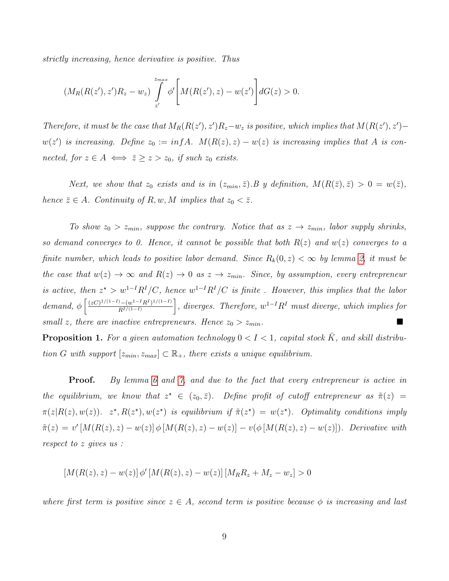strictly increasing, hence derivative is positive. Thus

$$
(M_R(R(z'), z')R_z - w_z) \int_{z'}^{z_{max}} \phi' \left[ M(R(z'), z) - w(z') \right] dG(z) > 0.
$$

Therefore, it must be the case that  $M_R(R(z'), z')R_z - w_z$  is positive, which implies that  $M(R(z'), z')$  $w(z')$  is increasing. Define  $z_0 := inf A$ .  $M(R(z), z) - w(z)$  is increasing implies that A is connected, for  $z \in A$  ⇔  $\overline{z} \geq z > z_0$ , if such  $z_0$  exists.

Next, we show that  $z_0$  exists and is in  $(z_{min}, \bar{z})$ . B y definition,  $M(R(\bar{z}), \bar{z}) > 0 = w(\bar{z})$ , hence  $\bar{z} \in A$ . Continuity of R, w, M implies that  $z_0 < \bar{z}$ .

To show  $z_0 > z_{min}$ , suppose the contrary. Notice that as  $z \to z_{min}$ , labor supply shrinks, so demand converges to 0. Hence, it cannot be possible that both  $R(z)$  and  $w(z)$  converges to a finite number, which leads to positive labor demand. Since  $R_k(0, z) < \infty$  by lemma [2,](#page-37-0) it must be the case that  $w(z) \to \infty$  and  $R(z) \to 0$  as  $z \to z_{min}$ . Since, by assumption, every entrepreneur is active, then  $z^* > w^{1-I}R^I/C$ , hence  $w^{1-I}R^I/C$  is finite. However, this implies that the labor demand,  $\phi\left[\frac{(zC)^{1/(1-I)}-(w^{1-I}R^I)^{1/(1-I)}}{R^I/(1-I)}\right]$  $R^{I/(1-I)}$  $\Big]$ , diverges. Therefore,  $w^{1-I}R^I$  must diverge, which implies for small z, there are inactive entrepreneurs. Hence  $z_0 > z_{min}$ .

**Proposition 1.** For a given automation technology  $0 < I < 1$ , capital stock K, and skill distribution G with support  $[z_{min}, z_{max}] \subset \mathbb{R}_+$ , there exists a unique equilibrium.

**Proof.** By lemma [6](#page-40-0) and [7,](#page-41-0) and due to the fact that every entrepreneur is active in the equilibrium, we know that  $z^* \in (z_0, \bar{z})$ . Define profit of cutoff entrepreneur as  $\tilde{\pi}(z)$  =  $\pi(z|R(z), w(z))$ .  $z^*, R(z^*), w(z^*)$  is equilibrium if  $\tilde{\pi}(z^*) = w(z^*)$ . Optimality conditions imply  $\tilde{\pi}(z) = v'[M(R(z), z) - w(z)] \phi[M(R(z), z) - w(z)] - v(\phi[M(R(z), z) - w(z)]).$  Derivative with respect to z gives us :

 $[M(R(z), z) - w(z)] \phi' [M(R(z), z) - w(z)] [M_R R_z + M_z - w_z] > 0$ 

where first term is positive since  $z \in A$ , second term is positive because  $\phi$  is increasing and last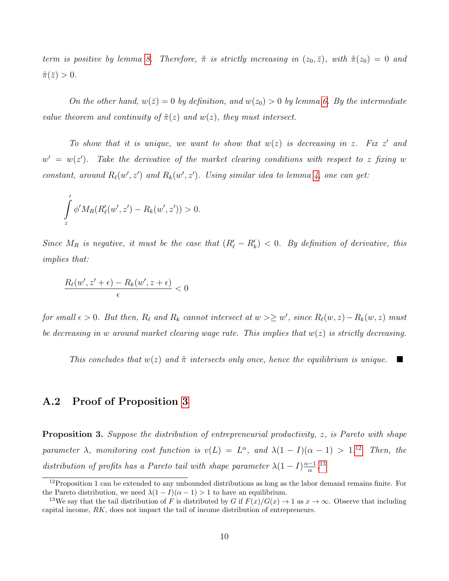term is positive by lemma [8.](#page-41-1) Therefore,  $\tilde{\pi}$  is strictly increasing in  $(z_0, \bar{z})$ , with  $\tilde{\pi}(z_0) = 0$  and  $\tilde{\pi}(\bar{z})>0.$ 

On the other hand,  $w(\bar{z}) = 0$  by definition, and  $w(z_0) > 0$  by lemma [6.](#page-40-0) By the intermediate value theorem and continuity of  $\tilde{\pi}(z)$  and  $w(z)$ , they must intersect.

To show that it is unique, we want to show that  $w(z)$  is decreasing in z. Fix z' and  $w' = w(z')$ . Take the derivative of the market clearing conditions with respect to z fixing w constant, around  $R_{\ell}(w', z')$  and  $R_{k}(w', z')$ . Using similar idea to lemma [4,](#page-38-1) one can get:

$$
\int_{z}^{'} \phi' M_{R}(R'_{\ell}(w',z') - R_{k}(w',z')) > 0.
$$

Since  $M_R$  is negative, it must be the case that  $(R'_\ell - R'_k) < 0$ . By definition of derivative, this implies that:

$$
\frac{R_{\ell}(w',z'+\epsilon) - R_{k}(w',z+\epsilon)}{\epsilon} < 0
$$

for small  $\epsilon > 0$ . But then,  $R_{\ell}$  and  $R_k$  cannot intersect at  $w \geq w'$ , since  $R_{\ell}(w, z) - R_k(w, z)$  must be decreasing in w around market clearing wage rate. This implies that  $w(z)$  is strictly decreasing.

This concludes that  $w(z)$  and  $\tilde{\pi}$  intersects only once, hence the equilibrium is unique.

### A.2 Proof of Proposition [3](#page-15-2)

**Proposition 3.** Suppose the distribution of entrepreneurial productivity, z, is Pareto with shape parameter  $\lambda$ , monitoring cost function is  $v(L) = L^{\alpha}$ , and  $\lambda(1 - I)(\alpha - 1) > 1$ .<sup>[12](#page-44-0)</sup> Then, the distribution of profits has a Pareto tail with shape parameter  $\lambda(1-I)^{\frac{\alpha-1}{\alpha}}$  $\frac{-1}{\alpha}$ .<sup>[13](#page-44-1)</sup>

<span id="page-44-0"></span> $12P$ roposition 1 can be extended to any unbounded distributions as long as the labor demand remains finite. For the Pareto distribution, we need  $\lambda(1-I)(\alpha-1) > 1$  to have an equilibrium.

<span id="page-44-1"></span><sup>&</sup>lt;sup>13</sup>We say that the tail distribution of F is distributed by G if  $F(x)/G(x) \to 1$  as  $x \to \infty$ . Observe that including capital income, RK, does not impact the tail of income distribution of entrepreneurs.